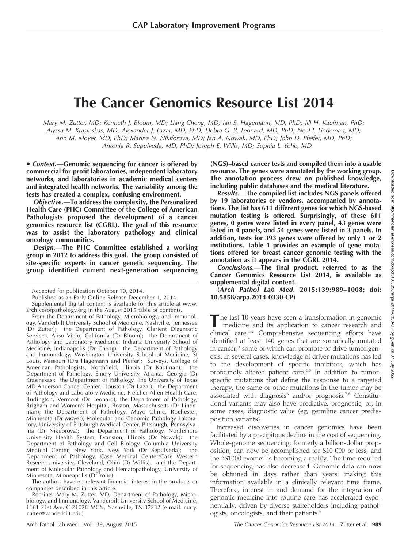# The Cancer Genomics Resource List 2014

Mary M. Zutter, MD; Kenneth J. Bloom, MD; Liang Cheng, MD; Ian S. Hagemann, MD, PhD; Jill H. Kaufman, PhD; Alyssa M. Krasinskas, MD; Alexander J. Lazar, MD, PhD; Debra G. B. Leonard, MD, PhD; Neal I. Lindeman, MD; Ann M. Moyer, MD, PhD; Marina N. Nikiforova, MD; Jan A. Nowak, MD, PhD; John D. Pfeifer, MD, PhD; Antonia R. Sepulveda, MD, PhD; Joseph E. Willis, MD; Sophia L. Yohe, MD

• Context.-Genomic sequencing for cancer is offered by commercial for-profit laboratories, independent laboratory networks, and laboratories in academic medical centers and integrated health networks. The variability among the tests has created a complex, confusing environment.

Objective.—To address the complexity, the Personalized Health Care (PHC) Committee of the College of American Pathologists proposed the development of a cancer genomics resource list (CGRL). The goal of this resource was to assist the laboratory pathology and clinical oncology communities.

Design.—The PHC Committee established a working group in 2012 to address this goal. The group consisted of site-specific experts in cancer genetic sequencing. The group identified current next-generation sequencing

Supplemental digital content is available for this article at www. archivesofpathology.org in the August 2015 table of contents.

From the Department of Pathology, Microbiology, and Immunology, Vanderbilt University School of Medicine, Nashville, Tennessee (Dr Zutter); the Department of Pathology, Clarient Diagnostic Services, Aliso Viejo, California (Dr Bloom); the Department of Pathology and Laboratory Medicine, Indiana University School of Medicine, Indianapolis (Dr Cheng); the Department of Pathology and Immunology, Washington University School of Medicine, St Louis, Missouri (Drs Hagemann and Pfeifer); Surveys, College of American Pathologists, Northfield, Illinois (Dr Kaufman); the Department of Pathology, Emory University, Atlanta, Georgia (Dr Krasinskas); the Department of Pathology, The University of Texas MD Anderson Cancer Center, Houston (Dr Lazar); the Department of Pathology and Laboratory Medicine, Fletcher Allen Health Care, Burlington, Vermont (Dr Leonard); the Department of Pathology, Brigham and Women's Hospital, Boston, Massachusetts (Dr Lindeman); the Department of Pathology, Mayo Clinic, Rochester, Minnesota (Dr Moyer); Molecular and Genomic Pathology Laboratory, University of Pittsburgh Medical Center, Pittsburgh, Pennsylvania (Dr Nikiforova); the Department of Pathology, NorthShore University Health System, Evanston, Illinois (Dr Nowak); the Department of Pathology and Cell Biology, Columbia University Medical Center, New York, New York (Dr Sepulveda); the Department of Pathology, Case Medical Center/Case Western Reserve University, Cleveland, Ohio (Dr Willis); and the Department of Molecular Pathology and Hematopathology, University of Minnesota, Minneapolis (Dr Yohe).

The authors have no relevant financial interest in the products or companies described in this article.

Reprints: Mary M. Zutter, MD, Department of Pathology, Microbiology, and Immunology, Vanderbilt University School of Medicine, 1161 21st Ave, C-2102C MCN, Nashville, TN 37232 (e-mail: mary. zutter@vanderbilt.edu).

(NGS)–based cancer tests and compiled them into a usable resource. The genes were annotated by the working group. The annotation process drew on published knowledge, including public databases and the medical literature.

Results.—The compiled list includes NGS panels offered by 19 laboratories or vendors, accompanied by annotations. The list has 611 different genes for which NGS-based mutation testing is offered. Surprisingly, of these 611 genes, 0 genes were listed in every panel, 43 genes were listed in 4 panels, and 54 genes were listed in 3 panels. In addition, tests for 393 genes were offered by only 1 or 2 institutions. Table 1 provides an example of gene mutations offered for breast cancer genomic testing with the annotation as it appears in the CGRL 2014.

Conclusions.—The final product, referred to as the Cancer Genomics Resource List 2014, is available as supplemental digital content.

(Arch Pathol Lab Med. 2015;139:989–1008; doi: 10.5858/arpa.2014-0330-CP)

The last 10 years have seen a transformation in genomic<br>medicine and its application to cancer research and clinical care.<sup>1,2</sup> Comprehensive sequencing efforts have identified at least 140 genes that are somatically mutated in cancer, $3$  some of which can promote or drive tumorigenesis. In several cases, knowledge of driver mutations has led to the development of specific inhibitors, which has profoundly altered patient care.<sup>4,5</sup> In addition to tumorspecific mutations that define the response to a targeted therapy, the same or other mutations in the tumor may be associated with diagnosis $6$  and/or prognosis.<sup>7,8</sup> Constitutional variants may also have predictive, prognostic, or, in some cases, diagnostic value (eg, germline cancer predisposition variants).

Increased discoveries in cancer genomics have been facilitated by a precipitous decline in the cost of sequencing. Whole-genome sequencing, formerly a billion-dollar proposition, can now be accomplished for \$10 000 or less, and the ''\$1000 exome'' is becoming a reality. The time required for sequencing has also decreased. Genomic data can now be obtained in days rather than years, making this information available in a clinically relevant time frame. Therefore, interest in and demand for the integration of genomic medicine into routine care has accelerated exponentially, driven by diverse stakeholders including pathologists, oncologists, and their patients.<sup>9</sup>

Accepted for publication October 10, 2014.

Published as an Early Online Release December 1, 2014.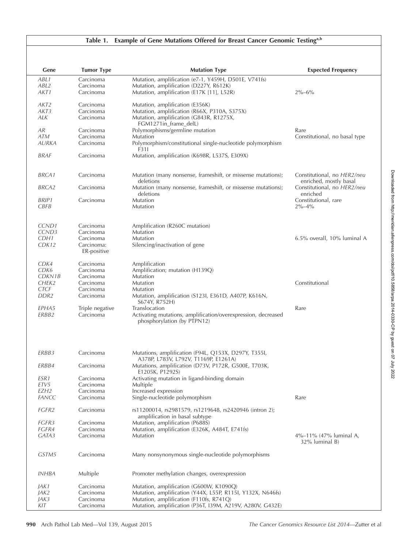# Table 1. Example of Gene Mutations Offered for Breast Cancer Genomic Testinga,b

| Gene              | <b>Tumor Type</b>      | <b>Mutation Type</b>                                                                                  | <b>Expected Frequency</b>               |
|-------------------|------------------------|-------------------------------------------------------------------------------------------------------|-----------------------------------------|
| ABL1              | Carcinoma              | Mutation, amplification (e7-1, Y459H, D501E, V741fs)                                                  |                                         |
| ABL2              | Carcinoma              | Mutation, amplification (D227Y, R612K)                                                                |                                         |
| AKT1              | Carcinoma              | Mutation, amplification (E17K [11], L52R)                                                             | $2\% - 6\%$                             |
| AKT2              | Carcinoma              | Mutation, amplification (E356K)                                                                       |                                         |
| AKT3              | Carcinoma              | Mutation, amplification (R66X, P310A, S375X)                                                          |                                         |
| ALK               | Carcinoma              | Mutation, amplification (G843R, R1275X,                                                               |                                         |
|                   |                        | FGM1271in_frame_delL)                                                                                 |                                         |
| АR                | Carcinoma              | Polymorphisms/germline mutation                                                                       | Rare                                    |
| <b>ATM</b>        | Carcinoma              | Mutation                                                                                              | Constitutional, no basal type           |
| <b>AURKA</b>      | Carcinoma              | Polymorphism/constitutional single-nucleotide polymorphism<br>F311                                    |                                         |
| <b>BRAF</b>       | Carcinoma              | Mutation, amplification (K698R, L537S, E309X)                                                         |                                         |
| <b>BRCA1</b>      | Carcinoma              | Mutation (many nonsense, frameshift, or missense mutations);                                          | Constitutional, no <i>HER2/neu</i>      |
|                   |                        | deletions                                                                                             | enriched, mostly basal                  |
| <b>BRCA2</b>      | Carcinoma              | Mutation (many nonsense, frameshift, or missense mutations);<br>deletions                             | Constitutional, no HER2/neu<br>enriched |
| BRIP1             | Carcinoma              | Mutation                                                                                              | Constitutional, rare                    |
| <b>CBFB</b>       |                        | Mutation                                                                                              | $2\% - 4\%$                             |
| CCND1             | Carcinoma              | Amplification (R260C mutation)                                                                        |                                         |
| CCND <sub>3</sub> | Carcinoma              | Mutation                                                                                              |                                         |
| CDH1              | Carcinoma              | Mutation                                                                                              | 6.5% overall, 10% luminal A             |
| CDK12             | Carcinoma:             | Silencing/inactivation of gene                                                                        |                                         |
|                   | ER-positive            |                                                                                                       |                                         |
| CDK4              | Carcinoma              | Amplification                                                                                         |                                         |
| CDK6              | Carcinoma              | Amplification; mutation (H139Q)                                                                       |                                         |
| CDKN1B            | Carcinoma              | Mutation                                                                                              |                                         |
| CHEK2             | Carcinoma              | Mutation                                                                                              | Constitutional                          |
| <b>CTCF</b>       | Carcinoma              | Mutation                                                                                              |                                         |
| DDR <sub>2</sub>  | Carcinoma              | Mutation, amplification (S123I, E361D, A407P, K616N,<br>S674Y, R752H)                                 |                                         |
| EPHA5             | Triple negative        | Translocation                                                                                         | Rare                                    |
| ERBB2             | Carcinoma              | Activating mutations, amplification/overexpression, decreased<br>phosphorylation (by PTPN12)          |                                         |
| ERBB3             | Carcinoma              | Mutations, amplification (F94L, Q153X, D297Y, T355I,<br>A378P, L783V, L792V, T1169P, E1261A)          |                                         |
| ERBB4             | Carcinoma              | Mutations, amplification (D73V, P172R, G500E, T703K,                                                  |                                         |
| ESR1              | Carcinoma              | E1205K, P1292S)<br>Activating mutation in ligand-binding domain                                       |                                         |
| ETV5              | Carcinoma              | Multiple                                                                                              |                                         |
| EZH <sub>2</sub>  | Carcinoma              | Increased expression                                                                                  |                                         |
| <b>FANCC</b>      | Carcinoma              | Single-nucleotide polymorphism                                                                        | Rare                                    |
| FGFR2             | Carcinoma              | rs11200014, rs2981579, rs1219648, rs2420946 (intron 2);<br>amplification in basal subtype             |                                         |
| FGFR3             | Carcinoma              | Mutation, amplification (P688S)                                                                       |                                         |
| FGFR4             | Carcinoma              | Mutation, amplification (E326K, A484T, E741fs)                                                        |                                         |
| GATA3             | Carcinoma              | Mutation                                                                                              | 4%-11% (47% luminal A,                  |
|                   |                        |                                                                                                       | $32\%$ luminal B)                       |
|                   | Carcinoma              | Many nonsynonymous single-nucleotide polymorphisms                                                    |                                         |
| GSTM5             |                        |                                                                                                       |                                         |
| <b>INHBA</b>      | Multiple               | Promoter methylation changes, overexpression                                                          |                                         |
|                   |                        |                                                                                                       |                                         |
| JAK1              | Carcinoma              | Mutation, amplification (G600W, K1090Q)                                                               |                                         |
| JAK2<br>JAK3      | Carcinoma<br>Carcinoma | Mutation, amplification (Y44X, L55P, R115I, Y132X, N646fs)<br>Mutation, amplification (F110fs, R741Q) |                                         |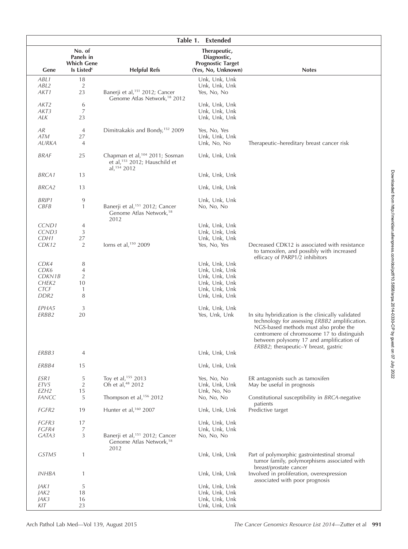|                                                                    |                                                                    |                                                                                            | Table 1. Extended                                                                                  |                                                                                                                                                                                                                                                                               |
|--------------------------------------------------------------------|--------------------------------------------------------------------|--------------------------------------------------------------------------------------------|----------------------------------------------------------------------------------------------------|-------------------------------------------------------------------------------------------------------------------------------------------------------------------------------------------------------------------------------------------------------------------------------|
| Gene                                                               | No. of<br>Panels in<br><b>Which Gene</b><br>Is Listed <sup>c</sup> | <b>Helpful Refs</b>                                                                        | Therapeutic,<br>Diagnostic,<br><b>Prognostic Target</b><br>(Yes, No, Unknown)                      | <b>Notes</b>                                                                                                                                                                                                                                                                  |
| ABL1<br>ABL2<br>AKT1                                               | 18<br>2<br>23                                                      | Banerji et al, <sup>151</sup> 2012; Cancer<br>Genome Atlas Network, <sup>18</sup> 2012     | Unk, Unk, Unk<br>Unk, Unk, Unk<br>Yes, No, No                                                      |                                                                                                                                                                                                                                                                               |
| AKT2<br>AKT3<br>ALK                                                | 6<br>7<br>23                                                       |                                                                                            | Unk, Unk, Unk<br>Unk, Unk, Unk<br>Unk, Unk, Unk                                                    |                                                                                                                                                                                                                                                                               |
| AR<br>ATM<br><b>AURKA</b>                                          | $\overline{4}$<br>27<br>$\overline{4}$                             | Dimitrakakis and Bondy, <sup>152</sup> 2009                                                | Yes, No, Yes<br>Unk, Unk, Unk<br>Unk, No, No                                                       | Therapeutic-hereditary breast cancer risk                                                                                                                                                                                                                                     |
| <b>BRAF</b>                                                        | 25                                                                 | Chapman et al, <sup>104</sup> 2011; Sosman<br>et al, <sup>153</sup> 2012; Hauschild et     | Unk, Unk, Unk                                                                                      |                                                                                                                                                                                                                                                                               |
| <b>BRCA1</b>                                                       | 13                                                                 | al, 154 2012                                                                               | Unk, Unk, Unk                                                                                      |                                                                                                                                                                                                                                                                               |
| BRCA2                                                              | 13                                                                 |                                                                                            | Unk, Unk, Unk                                                                                      |                                                                                                                                                                                                                                                                               |
| BRIP1<br>CBFB                                                      | 9<br>$\mathbf{1}$                                                  | Banerji et al, <sup>151</sup> 2012; Cancer<br>Genome Atlas Network, <sup>18</sup><br>2012  | Unk, Unk, Unk<br>No, No, No                                                                        |                                                                                                                                                                                                                                                                               |
| CCND1<br>CCND3<br>CDH1<br>CDK12                                    | $\overline{4}$<br>3<br>27<br>$\overline{2}$                        | lorns et al, <sup>150</sup> 2009                                                           | Unk, Unk, Unk<br>Unk, Unk, Unk<br>Unk, Unk, Unk<br>Yes, No, Yes                                    | Decreased CDK12 is associated with resistance<br>to tamoxifen, and possibly with increased                                                                                                                                                                                    |
| CDK4<br>CDK6<br>CDKN1B<br>CHEK2<br><b>CTCF</b><br>DDR <sub>2</sub> | 8<br>4<br>2<br>10<br>1<br>8                                        |                                                                                            | Unk, Unk, Unk<br>Unk, Unk, Unk<br>Unk, Unk, Unk<br>Unk, Unk, Unk<br>Unk, Unk, Unk<br>Unk, Unk, Unk | efficacy of PARP1/2 inhibitors                                                                                                                                                                                                                                                |
| EPHA5<br>ERBB2                                                     | 3<br>20                                                            |                                                                                            | Unk, Unk, Unk<br>Yes, Unk, Unk                                                                     | In situ hybridization is the clinically validated<br>technology for assessing ERBB2 amplification.<br>NGS-based methods must also probe the<br>centromere of chromosome 17 to distinguish<br>between polysomy 17 and amplification of<br>ERBB2; therapeutic-Y breast, gastric |
| ERBB3                                                              |                                                                    |                                                                                            | Unk, Unk, Unk                                                                                      |                                                                                                                                                                                                                                                                               |
| ERBB4                                                              | 15                                                                 |                                                                                            | Unk, Unk, Unk                                                                                      |                                                                                                                                                                                                                                                                               |
| ESR1<br>ETV5<br>EZH <sub>2</sub><br><b>FANCC</b>                   | 5<br>$\overline{2}$<br>15<br>5                                     | Toy et al, 155 2013<br>Oh et al, <sup>48</sup> 2012<br>Thompson et al, <sup>156</sup> 2012 | Yes, No, No<br>Unk, Unk, Unk<br>Unk, No, No<br>No, No, No                                          | ER antagonists such as tamoxifen<br>May be useful in prognosis<br>Constitutional susceptibility in BRCA-negative                                                                                                                                                              |
| FGFR2                                                              | 19                                                                 | Hunter et al, <sup>160</sup> 2007                                                          | Unk, Unk, Unk                                                                                      | patients<br>Predictive target                                                                                                                                                                                                                                                 |
| FGFR3<br>FGFR4<br>GATA3                                            | 17<br>7<br>3                                                       | Banerji et al, <sup>151</sup> 2012; Cancer<br>Genome Atlas Network, <sup>18</sup>          | Unk, Unk, Unk<br>Unk, Unk, Unk<br>No, No, No                                                       |                                                                                                                                                                                                                                                                               |
| GSTM5                                                              | $\mathbf{1}$                                                       | 2012                                                                                       | Unk, Unk, Unk                                                                                      | Part of polymorphic gastrointestinal stromal<br>tumor family, polymorphisms associated with<br>breast/prostate cancer                                                                                                                                                         |
| <i>INHBA</i>                                                       | $\mathbf{1}$                                                       |                                                                                            | Unk, Unk, Unk                                                                                      | Involved in proliferation, overexpression<br>associated with poor prognosis                                                                                                                                                                                                   |
| JAK1<br>JAK2<br>JAK3<br>KIT                                        | 5<br>18<br>16<br>23                                                |                                                                                            | Unk, Unk, Unk<br>Unk, Unk, Unk<br>Unk, Unk, Unk<br>Unk, Unk, Unk                                   |                                                                                                                                                                                                                                                                               |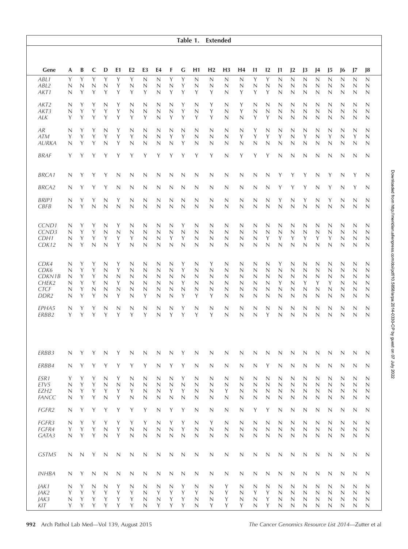|                                                                    |                            |                            |                            |                             |                            |                            |                            |                            |                            | Table 1.                   |                            | <b>Extended</b>             |                            |                            |                            |                            |                            |                            |                            |                                 |                            |                            |                            |                            |
|--------------------------------------------------------------------|----------------------------|----------------------------|----------------------------|-----------------------------|----------------------------|----------------------------|----------------------------|----------------------------|----------------------------|----------------------------|----------------------------|-----------------------------|----------------------------|----------------------------|----------------------------|----------------------------|----------------------------|----------------------------|----------------------------|---------------------------------|----------------------------|----------------------------|----------------------------|----------------------------|
|                                                                    |                            |                            |                            |                             |                            |                            |                            |                            |                            |                            |                            |                             |                            |                            |                            |                            |                            |                            |                            |                                 |                            |                            |                            |                            |
| Gene                                                               | A                          | B                          | C                          | D                           | E <sub>1</sub>             | E <sub>2</sub>             | E <sub>3</sub>             | E4                         | F                          | G                          | H1                         | H <sub>2</sub>              | H <sub>3</sub>             | H4                         | $\mathbf{I}$               | 12                         | 1                          | 12                         | J3                         | J4                              | J5                         | J6                         | 17                         | $\mathbf{18}$              |
| ABL1<br>ABL2<br>AKT1                                               | Y<br>N<br>N                | Y<br>N<br>Y                | Y<br>N<br>Y                | Y<br>N<br>Y                 | Y<br>Υ<br>Y                | Y<br>N<br>Y                | N<br>N<br>Y                | N<br>N<br>N                | Y<br>N<br>Y                | Y<br>Y<br>Y                | N<br>N<br>Y                | N<br>N<br>Y                 | N<br>N<br>N                | N<br>N<br>Y                | Υ<br>N<br>Y                | Υ<br>N<br>Y                | N<br>N<br>N                | N<br>N<br>N                | N<br>N<br>N                | N<br>N<br>N                     | N<br>N<br>$\mathbb N$      | N<br>N<br>N                | N<br>N<br>N                | N<br>N<br>$\mathbb N$      |
| AKT2<br>AKT3<br>ALK                                                | N<br>N<br>Y                | Y<br>Y<br>Y                | Y<br>Y<br>Y                | N<br>Υ<br>Y                 | Y<br>Y<br>Y                | N<br>$\mathbb N$<br>Y      | N<br>N<br>Y                | N<br>$\mathbb N$<br>N      | N<br>N<br>Y                | Y<br>Y<br>Y                | N<br>$\mathbb N$<br>Y      | Y<br>Υ<br>Y                 | N<br>$\mathsf{N}$<br>N     | Υ<br>Y<br>N                | N<br>$\mathbb N$<br>Y      | N<br>$\mathbb N$<br>Y      | N<br>N<br>$\mathbb N$      | N<br>N<br>N                | N<br>$\mathbb N$<br>N      | N<br>$\mathbb N$<br>N           | N<br>N<br>N                | N<br>N<br>N                | N<br>$\mathbb N$<br>N      | N<br>N<br>N                |
| AR<br><b>ATM</b><br><b>AURKA</b>                                   | N<br>Y<br>N                | Y<br>Y<br>Y                | Y<br>Y<br>Y                | N<br>Υ<br>N                 | Y<br>Y<br>Y                | N<br>Υ<br>$\mathbb N$      | N<br>N<br>N                | N<br>$\mathbb N$<br>N      | N<br>Y<br>N                | N<br>Y<br>Y                | N<br>N<br>N                | N<br>N<br>N                 | N<br>N<br>N                | N<br>Y<br>N                | Y<br>Y<br>$\mathsf{N}$     | N<br>Υ<br>$\mathbb N$      | N<br>Y<br>$\mathbb N$      | N<br>N<br>N                | N<br>Υ<br>$\mathbb N$      | N<br>$\mathbb N$<br>$\mathbb N$ | N<br>Υ<br>N                | N<br>N<br>$\mathsf{N}$     | N<br>Y<br>N                | N<br>N<br>N                |
| <b>BRAF</b>                                                        | Y                          | Υ                          | Y                          | Y                           | Y                          | Y                          | Y                          | Y                          | Υ                          | Y                          | Y                          | Y                           | N                          | Y                          | Y                          | Y                          | N                          | N                          | N                          | N                               | N                          | N                          | N                          | N                          |
| <b>BRCA1</b>                                                       | N                          | Y                          | Y                          | Y                           | N                          | N                          | N                          | N                          | N                          | N                          | N                          | N                           | N                          | N                          | N                          | N                          | Y                          | Y                          | Υ                          | N                               | Υ                          | N                          | Y                          | N                          |
| <b>BRCA2</b>                                                       | N                          | Y                          | Υ                          | Υ                           | N                          | N                          | N                          | N                          | N                          | N                          | N                          | N                           | N                          | N                          | N                          | N                          | Υ                          | Y                          | Υ                          | N                               | Υ                          | N                          | Y                          | N                          |
| BRIP1<br><b>CBFB</b>                                               | N<br>N                     | Υ<br>Y                     | Υ<br>$\mathsf{N}$          | N<br>$\mathbb N$            | Υ<br>N                     | N<br>$\mathbb N$           | N<br>N                     | N<br>N                     | N<br>N                     | N<br>N                     | N<br>N                     | N<br>N                      | N<br>N                     | N<br>N                     | N<br>N                     | N<br>N                     | Υ<br>N                     | N<br>N                     | Y<br>$\mathbb N$           | N<br>N                          | Υ<br>N                     | N<br>$\mathbb N$           | N<br>N                     | N<br>N                     |
| CCND1<br>CCND <sub>3</sub><br>CDH1<br>CDK12                        | N<br>N<br>N<br>N           | Y<br>Y<br>Y<br>Y           | Υ<br>Y<br>Υ<br>N           | N<br>$\mathsf{N}$<br>Y<br>N | Y<br>N<br>Y<br>Y           | N<br>$\mathbb N$<br>Y<br>N | N<br>N<br>N<br>N           | N<br>N<br>N<br>N           | N<br>$\mathbb N$<br>Y<br>N | Y<br>N<br>Y<br>N           | N<br>N<br>N<br>N           | N<br>N<br>N<br>N            | N<br>N<br>N<br>N           | N<br>N<br>N<br>N           | N<br>N<br>N<br>N           | N<br>$\mathbb N$<br>Y<br>N | N<br>N<br>Y<br>N           | N<br>N<br>Y<br>N           | N<br>N<br>Y<br>N           | N<br>N<br>Υ<br>N                | N<br>N<br>Y<br>N           | N<br>N<br>N<br>N           | N<br>N<br>N<br>N           | N<br>N<br>N<br>N           |
| CDK4<br>CDK6<br>CDKN1B<br>CHEK2<br><b>CTCF</b><br>DDR <sub>2</sub> | N<br>N<br>N<br>N<br>N<br>N | Y<br>Y<br>Y<br>Y<br>Y<br>Y | Υ<br>Y<br>Y<br>Υ<br>N<br>Υ | N<br>N<br>N<br>N<br>N<br>N  | Y<br>Y<br>N<br>Υ<br>N<br>Y | N<br>N<br>N<br>N<br>N<br>N | N<br>N<br>N<br>N<br>N<br>Y | N<br>N<br>N<br>N<br>N<br>N | N<br>N<br>N<br>N<br>N<br>N | Y<br>Y<br>N<br>Y<br>N<br>Y | N<br>N<br>N<br>N<br>N<br>Y | Y<br>N<br>N<br>N<br>N<br>Y  | N<br>N<br>N<br>N<br>N<br>N | N<br>N<br>N<br>N<br>N<br>N | N<br>N<br>N<br>N<br>N<br>N | N<br>N<br>N<br>N<br>N<br>N | Υ<br>N<br>N<br>Y<br>N<br>N | N<br>N<br>N<br>N<br>N<br>N | N<br>N<br>N<br>Y<br>N<br>N | N<br>N<br>N<br>Y<br>N<br>N      | N<br>N<br>N<br>Y<br>N<br>N | N<br>N<br>N<br>N<br>N<br>N | N<br>N<br>N<br>N<br>N<br>N | N<br>N<br>N<br>N<br>N<br>N |
| EPHA5<br>ERBB2                                                     | N<br>Y                     | Υ<br>Y                     | Υ<br>Y                     | N<br>Y                      | N<br>Y                     | N<br>Y                     | N<br>Y                     | N<br>N                     | N<br>Y                     | Y<br>Y                     | N<br>Y                     | N<br>Y                      | N<br>N                     | N<br>N                     | N<br>N                     | N<br>Υ                     | N<br>N                     | N<br>N                     | N<br>N                     | N<br>N                          | N<br>N                     | N<br>N                     | N<br>N                     | N<br>N                     |
| ERBB3                                                              | N                          |                            |                            |                             | Y Y N Y N                  |                            |                            | N N N Y                    |                            |                            |                            | $N$ $N$ $N$                 |                            | N N N N N N N N N N        |                            |                            |                            |                            |                            |                                 |                            |                            |                            | N                          |
| ERBB4                                                              | N                          | Y                          | Y                          | Υ                           | Υ                          | Υ                          | Y                          | N                          | Υ                          | Y                          | N                          | N                           | N                          | N                          | N                          | Υ                          | N                          | N                          | N                          | N                               | N                          | N                          | N                          | N                          |
| ESR1<br>ETV5<br>EZH <sub>2</sub><br><b>FANCC</b>                   | Y<br>N<br>N<br>N           | Υ<br>Y<br>Υ<br>Υ           | Y<br>Υ<br>Υ<br>Υ           | N<br>$\mathbb N$<br>Υ<br>N  | Υ<br>N<br>Y<br>Υ           | N<br>N<br>Υ<br>N           | N<br>N<br>N<br>N           | N<br>N<br>N<br>N           | N<br>N<br>Y<br>N           | Y<br>N<br>Y<br>N           | N<br>N<br>N<br>N           | N<br>N<br>N<br>N            | N<br>N<br>Υ<br>N           | N<br>N<br>N<br>N           | N<br>N<br>N<br>N           | N<br>N<br>N<br>N           | N<br>N<br>N<br>N           | N<br>N<br>N<br>N           | N<br>N<br>N<br>N           | N<br>N<br>N<br>N                | N<br>N<br>N<br>N           | N<br>N<br>N<br>N           | N<br>N<br>N<br>N           | N<br>N<br>N<br>N           |
| FGFR2                                                              | $\mathsf{N}$               | Y                          | Y                          | Υ                           | Υ                          | Y                          | Υ                          | N                          | Υ                          | Y                          | N                          | N                           | N                          | N                          | Y                          | Υ                          | N                          | N                          | N                          | N                               | N                          | N                          | N                          | N                          |
| FGFR3<br>FGFR4<br>GATA3                                            | N<br>Y<br>N                | Υ<br>Υ<br>Y                | Υ<br>Y<br>Y                | Y<br>N<br>N                 | Υ<br>Υ<br>Y                | Υ<br>N<br>N                | Υ<br>N<br>N                | N<br>N<br>N                | Υ<br>N<br>$\mathsf{N}$     | Υ<br>Υ<br>N                | N<br>N<br>N                | Y<br>$\hbox{N}$<br>N        | N<br>N<br>N                | N<br>N<br>N                | N<br>N<br>N                | N<br>$\mathbb N$<br>N      | N<br>N<br>N                | N<br>N<br>N                | N<br>N<br>N                | N<br>N<br>N                     | N<br>N<br>N                | N<br>N<br>N                | N<br>N<br>N                | N<br>N<br>N                |
| GSTM5                                                              | N.                         | N                          | Y                          | N                           | N                          | N                          | N                          | N                          | N                          | N                          | N                          | N                           | N                          | N                          | N                          | N                          | N                          | N                          | N                          | N                               | N                          | N                          | N                          | N                          |
| <b>INHBA</b>                                                       | N                          | Y                          | N                          | N                           | N                          | N                          | N                          | N                          | N                          | N                          | N                          | N                           | N                          | N                          | N                          | N                          | N                          | N                          | N                          | N                               | N                          | N                          | N                          | N                          |
| JAK1<br>JAK2<br>JAK3<br>KIT                                        | N<br>Y<br>N<br>Y           | Y<br>Y<br>Υ<br>Υ           | N<br>Υ<br>Υ<br>Υ           | N<br>Y<br>Y<br>Y            | Y<br>Υ<br>Υ<br>Y           | N<br>Υ<br>Υ<br>Υ           | N<br>N<br>N<br>N           | N<br>Y<br>N<br>Υ           | N<br>Y<br>Y<br>Y           | Y<br>$\mathsf Y$<br>Y<br>Υ | N<br>Υ<br>N<br>N           | N<br>$\mathsf{N}$<br>N<br>Υ | Y<br>Υ<br>Υ<br>Υ           | N<br>N<br>N<br>Y           | N<br>Υ<br>N<br>N           | N<br>Y<br>Υ<br>Υ           | N<br>$\mathbb N$<br>N<br>N | N<br>N<br>N<br>N           | N<br>N<br>N<br>N           | N<br>$\mathbb N$<br>N<br>N      | N<br>N<br>N<br>N           | N<br>N<br>N<br>N           | N<br>N<br>N<br>N           | N<br>$\mathbb N$<br>N<br>N |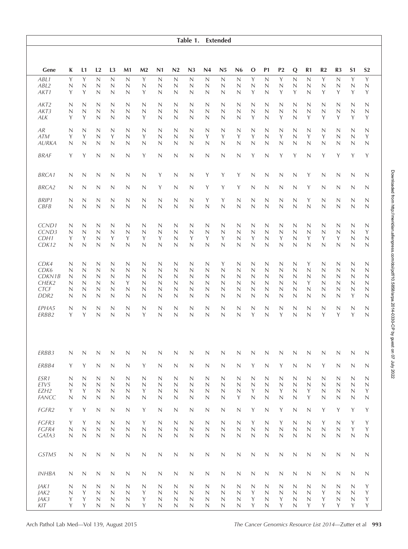|                                                                    |                             |                                       |                                                |                                       |                             |                            |                                                  |                                      | Table 1.                              |                            | <b>Extended</b>            |                                                  |                                                |                                                                      |                                       |                                                             |                                       |                                       |                                 |                                                   |                                                                                         |
|--------------------------------------------------------------------|-----------------------------|---------------------------------------|------------------------------------------------|---------------------------------------|-----------------------------|----------------------------|--------------------------------------------------|--------------------------------------|---------------------------------------|----------------------------|----------------------------|--------------------------------------------------|------------------------------------------------|----------------------------------------------------------------------|---------------------------------------|-------------------------------------------------------------|---------------------------------------|---------------------------------------|---------------------------------|---------------------------------------------------|-----------------------------------------------------------------------------------------|
|                                                                    |                             |                                       |                                                |                                       |                             |                            |                                                  |                                      |                                       |                            |                            |                                                  |                                                |                                                                      |                                       |                                                             |                                       |                                       |                                 |                                                   |                                                                                         |
| Gene                                                               | K                           | L1                                    | L2                                             | L3                                    | M1                          | M <sub>2</sub>             | N <sub>1</sub>                                   | N <sub>2</sub>                       | N <sub>3</sub>                        | N <sub>4</sub>             | N <sub>5</sub>             | N6                                               | $\mathbf O$                                    | <b>P1</b>                                                            | <b>P2</b>                             | Q                                                           | $R1$                                  | R <sub>2</sub>                        | R <sub>3</sub>                  | <b>S1</b>                                         | S <sub>2</sub>                                                                          |
| ABL1<br>ABL2<br>AKT1                                               | Y<br>N<br>Y                 | Y<br>N<br>Y                           | $\mathbb N$<br>N<br>N                          | N<br>N<br>N                           | N<br>N<br>N                 | Y<br>N<br>Υ                | N<br>N<br>N                                      | N<br>N<br>N                          | $\mathsf{N}$<br>N<br>N                | $\mathbb N$<br>N<br>N      | N<br>N<br>N                | $\mathbb N$<br>N<br>N                            | Y<br>N<br>Y                                    | $\mathbb N$<br>N<br>$\mathsf{N}$                                     | Y<br>N<br>Y                           | $\overline{N}$<br>N<br>Y                                    | N<br>N<br>N                           | Y<br>N<br>Y                           | $\mathbb N$<br>N<br>Y           | Y<br>$\mathsf N$<br>Y                             | Y<br>$\mathbb N$<br>Y                                                                   |
| AKT2<br>AKT3<br>ALK                                                | N<br>N<br>Y                 | N<br>N<br>Y                           | N<br>N<br>N                                    | N<br>N<br>N                           | N<br>N<br>N                 | N<br>$\mathbb N$<br>Υ      | N<br>N<br>N                                      | N<br>N<br>N                          | N<br>N<br>$\mathsf{N}$                | N<br>N<br>N                | N<br>N<br>N                | N<br>$\hbox{N}$<br>$\mathsf{N}$                  | N<br>$\mathbb N$<br>Υ                          | N<br>$\mathbb N$<br>$\mathbb N$                                      | N<br>$\mathbb N$<br>Υ                 | N<br>N<br>N                                                 | N<br>N<br>Y                           | N<br>N<br>Y                           | N<br>N<br>Y                     | $\mathsf{N}$<br>$\mathsf{N}$<br>Y                 | $\mathbb N$<br>$\mathbb N$<br>Y                                                         |
| AR<br>ATM<br>AURKA                                                 | N<br>Υ<br>N                 | N<br>Y<br>$\mathsf{N}$                | N<br>N<br>$\mathbb N$                          | N<br>Y<br>$\mathsf{N}$                | N<br>N<br>N                 | N<br>Y<br>N                | N<br>N<br>N                                      | N<br>N<br>N                          | N<br>$\mathsf{N}$<br>$\mathsf{N}$     | N<br>Y<br>N                | N<br>Υ<br>N                | N<br>Υ<br>$\mathsf{N}$                           | N<br>Υ<br>$\mathbb N$                          | N<br>$\mathbb N$<br>$\mathbb N$                                      | N<br>Υ<br>$\mathsf{N}$                | N<br>$\mathsf{N}$<br>$\mathsf{N}$                           | N<br>Υ<br>$\mathsf{N}$                | N<br>Y<br>N                           | N<br>$\mathbb N$<br>N           | N<br>$\mathsf{N}$<br>$\mathsf{N}$                 | $\mathbb N$<br>Υ<br>N                                                                   |
| BRAF                                                               | Y                           | Y                                     | N                                              | N                                     | N                           | Y                          | N                                                | N                                    | N                                     | N                          | N                          | N                                                | Y                                              | N                                                                    | Υ                                     | Y                                                           | N                                     | Y                                     | Υ                               | Y                                                 | Υ                                                                                       |
| <b>BRCA1</b>                                                       | N                           | N                                     | N                                              | N                                     | N                           | N                          | Y                                                | N                                    | N                                     | Y                          | Υ                          | Y                                                | $\mathbb N$                                    | $\mathbb N$                                                          | $\mathbb N$                           | $\mathsf{N}$                                                | Υ                                     | N                                     | N                               | $\mathsf{N}$                                      | $\mathbb N$                                                                             |
| <b>BRCA2</b>                                                       | N                           | N                                     | N                                              | N                                     | N                           | N                          | Y                                                | N                                    | N                                     | Υ                          | Υ                          | Υ                                                | N                                              | N                                                                    | N                                     | N                                                           | Y                                     | N                                     | N                               | $\mathbb N$                                       | N                                                                                       |
| <b>BRIP1</b><br>CBFB                                               | N<br>N                      | N<br>$\mathsf{N}$                     | N<br>$\mathbb N$                               | N<br>$\mathsf{N}$                     | N<br>$\mathsf{N}$           | N<br>$\mathbb{N}$          | N<br>N                                           | N<br>N                               | N<br>$\mathbb N$                      | Υ<br>$\mathbb N$           | Υ<br>N                     | N<br>$\mathbb N$                                 | N<br>$\mathbb N$                               | N<br>$\mathbb N$                                                     | N<br>$\mathbb N$                      | N<br>$\mathsf{N}$                                           | Υ<br>N                                | N<br>$\mathsf{N}$                     | N<br>N                          | $\mathbb N$<br>$\mathbb N$                        | N<br>$\mathbb N$                                                                        |
| CCND1<br>CCND <sub>3</sub><br>CDH1<br>CDK12                        | N<br>$\mathsf{N}$<br>Y<br>N | N<br>$\mathbb N$<br>Y<br>$\mathsf{N}$ | N<br>$\mathbb N$<br>$\mathbb N$<br>$\mathbb N$ | N<br>N<br>Y<br>N                      | N<br>$\mathsf{N}$<br>Y<br>N | N<br>$\mathbb N$<br>Y<br>N | N<br>$\mathsf{N}$<br>Υ<br>$\mathsf{N}$           | N<br>$\mathbb N$<br>$\mathbb N$<br>N | N<br>$\mathbb N$<br>Y<br>$\mathsf{N}$ | N<br>$\mathbb N$<br>Y<br>N | N<br>$\mathbb N$<br>Υ<br>N | N<br>$\mathsf{N}$<br>$\mathsf{N}$<br>$\mathbb N$ | N<br>$\hbox{N}$<br>Y<br>$\mathsf{N}$           | N<br>$\mathbb N$<br>$\mathbb N$<br>$\mathbb N$                       | N<br>$\mathbb N$<br>Υ<br>$\mathsf{N}$ | N<br>$\mathsf{N}$<br>$\mathsf{N}$<br>N                      | N<br>$\mathbb N$<br>Υ<br>$\mathsf{N}$ | N<br>$\mathsf{N}$<br>Y<br>N           | N<br>$\mathbb N$<br>Υ<br>N      | N<br>$\mathsf{N}$<br>$\mathsf{N}$<br>$\mathsf{N}$ | $\mathbb N$<br>Υ<br>$\mathbb N$<br>$\mathbb N$                                          |
| CDK4<br>CDK6<br>CDKN1B<br>CHEK2<br><b>CTCF</b><br>DDR <sub>2</sub> | N<br>N<br>N<br>N<br>N<br>N  | N<br>$\mathsf{N}$<br>N<br>N<br>N<br>N | N<br>N<br>N<br>$\mathbb N$<br>N<br>N           | N<br>N<br>N<br>N<br>N<br>$\mathsf{N}$ | N<br>N<br>N<br>Y<br>N<br>N  | N<br>N<br>N<br>N<br>N<br>N | N<br>N<br>N<br>$\mathsf{N}$<br>$\mathsf{N}$<br>N | N<br>N<br>N<br>N<br>N<br>N           | N<br>$\mathsf{N}$<br>N<br>N<br>N<br>N | N<br>N<br>N<br>N<br>N<br>N | Y<br>N<br>N<br>N<br>N<br>N | N<br>$\mathsf{N}$<br>N<br>N<br>N<br>$\mathbb N$  | N<br>$\mathbb N$<br>N<br>N<br>N<br>$\mathbb N$ | $\mathsf N$<br>$\mathsf{N}$<br>N<br>$\mathbb N$<br>N<br>$\mathsf{N}$ | N<br>N<br>N<br>N<br>N<br>N            | N<br>$\mathsf{N}$<br>N<br>$\mathsf{N}$<br>N<br>$\mathsf{N}$ | Υ<br>N<br>N<br>Y<br>N<br>N            | N<br>$\mathsf{N}$<br>N<br>N<br>N<br>N | N<br>N<br>N<br>N<br>N<br>N      | N<br>$\mathsf{N}$<br>N<br>$\mathbb N$<br>N<br>Υ   | $\mathbb N$<br>$\mathsf{N}$<br>$\mathbb N$<br>$\mathbb N$<br>$\mathbb N$<br>$\mathbb N$ |
| EPHA5<br>ERBB2                                                     | N<br>Y                      | N<br>Y                                | N<br>N                                         | N<br>N                                | N<br>N                      | N<br>Υ                     | N<br>N                                           | N<br>N                               | N<br>N                                | N<br>N                     | N<br>N                     | N<br>N                                           | N<br>Y                                         | N<br>N                                                               | N<br>Y                                | N<br>N                                                      | N<br>N                                | N<br>Y                                | N<br>Y                          | $\mathbb N$<br>Y                                  | $\mathbb N$<br>$\mathbb N$                                                              |
| ERBB3                                                              | N                           | $\mathsf N$                           | $\mathsf N$                                    | N                                     | N                           | N                          | N                                                | N                                    | $\mathsf{N}$                          | N                          | N                          | $\hbox{N}$                                       | N                                              | $\mathbb N$                                                          | $\mathbb{N}$                          | N                                                           | N                                     | N                                     | N                               | N                                                 | N                                                                                       |
| ERBB4                                                              | Y                           | Υ                                     | N                                              | $\mathbb N$                           | $\hbox{N}$                  | Y                          | $\hbox{N}$                                       | $\mathsf{N}$                         | $\mathbb N$                           | $\mathbb N$                | $\hbox{N}$                 | $\hbox{N}$                                       | Υ                                              | $\mathbb N$                                                          | Υ                                     | $\mathsf N$                                                 | $\mathsf N$                           | Y                                     | $\mathbb N$                     | $\mathbb N$                                       | $\mathbb N$                                                                             |
| ESR1<br>ETV5<br>EZH2<br>FANCC                                      | N<br>N<br>Y<br>N            | N<br>$\mathsf{N}$<br>Y<br>N           | N<br>N<br>N<br>N                               | N<br>$\mathsf{N}$<br>N<br>N           | N<br>N<br>N<br>N            | N<br>N<br>Y<br>N           | N<br>N<br>N<br>N                                 | N<br>N<br>N<br>N                     | N<br>$\mathsf{N}$<br>N<br>N           | N<br>$\mathbb N$<br>N<br>N | N<br>N<br>N<br>N           | N<br>$\mathsf{N}$<br>$\hbox{N}$<br>Y             | N<br>$\mathsf{N}$<br>Y<br>N                    | N<br>$\mathbb N$<br>$\mathbb N$<br>N                                 | N<br>N<br>Y<br>N                      | N<br>$\mathsf{N}$<br>N<br>N                                 | N<br>$\mathsf{N}$<br>Υ<br>Y           | N<br>$\mathsf{N}$<br>N<br>N           | N<br>N<br>N<br>N                | N<br>$\mathsf{N}$<br>N<br>N                       | N<br>$\mathbb N$<br>Υ<br>N                                                              |
| FGFR2                                                              | Y                           | Y                                     | N                                              | N                                     | N                           | Υ                          | $\hbox{N}$                                       | N                                    | $\mathbb N$                           | $\mathbb N$                | N                          | $\hbox{N}$                                       | Y                                              | $\mathbb N$                                                          | Y                                     | $\mathsf N$                                                 | N                                     | Y                                     | Υ                               | Υ                                                 | Υ                                                                                       |
| FGFR3<br>FGFR4<br>GATA3                                            | Y<br>N<br>N                 | Y<br>$\mathsf{N}$<br>$\mathsf{N}$     | N<br>$\mathbb N$<br>$\mathbb N$                | N<br>$\mathsf{N}$<br>$\mathsf{N}$     | N<br>N<br>N                 | Y<br>$\mathbb N$<br>N      | N<br>N<br>N                                      | N<br>N<br>N                          | N<br>$\mathbb N$<br>N                 | N<br>$\mathbb N$<br>N      | N<br>N<br>N                | N<br>$\hbox{N}$<br>$\mathbb N$                   | Υ<br>$\hbox{N}$<br>$\mathsf{N}$                | N<br>$\mathbb N$<br>$\mathbb N$                                      | Y<br>$\mathbb N$<br>$\mathbb N$       | N<br>$\mathbb N$<br>$\mathsf{N}$                            | N<br>N<br>N                           | Y<br>$\mathbb N$<br>$\mathsf{N}$      | N<br>$\mathbb N$<br>$\mathbb N$ | Y<br>Υ<br>$\mathsf{N}$                            | Y<br>Υ<br>N                                                                             |
| GSTM5                                                              | N                           | $\mathbb N$                           | N                                              | $\mathbb N$                           | $\hbox{N}$                  | N                          | $\hbox{N}$                                       | $\hbox{N}$                           | $\mathbb N$                           | $\mathbb N$                | $\hbox{N}$                 | $\hbox{N}$                                       | $\hbox{N}$                                     | $\mathbb N$                                                          | $\mathbb N$                           | $\mathbb N$                                                 | $\hbox{N}$                            | $\mathbb N$                           | $\mathbb N$                     | $\mathbb N$                                       | N                                                                                       |
| <b>INHBA</b>                                                       | N                           | N                                     | N                                              | N                                     | N                           | N                          | Ν                                                | N                                    | N                                     | N                          | N                          | N                                                | N                                              | N                                                                    | N                                     | N                                                           | Ν                                     | N                                     | N                               | $\mathsf N$                                       | N                                                                                       |
| JAK1<br>JAK2<br>JAK3<br>KIT                                        | N<br>N<br>Y<br>Υ            | N<br>Υ<br>Y<br>Y                      | N<br>$\mathbb N$<br>N<br>N                     | N<br>$\mathsf{N}$<br>N<br>N           | N<br>N<br>N<br>N            | N<br>Y<br>Υ<br>Υ           | N<br>N<br>N<br>N                                 | N<br>N<br>N<br>N                     | N<br>$\mathsf{N}$<br>N<br>N           | N<br>N<br>N<br>N           | N<br>N<br>N<br>N           | N<br>$\hbox{N}$<br>N<br>N                        | N<br>Υ<br>Y<br>Y                               | N<br>$\mathbb N$<br>N<br>N                                           | N<br>$\mathbb N$<br>Y<br>Y            | N<br>$\mathbb N$<br>N<br>N                                  | N<br>N<br>N<br>Y                      | N<br>Y<br>Υ<br>Υ                      | N<br>N<br>N<br>Y                | N<br>$\mathsf{N}$<br>N<br>Y                       | Υ<br>Y<br>Υ<br>Υ                                                                        |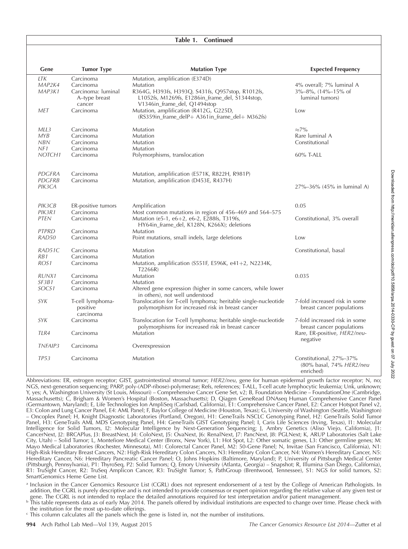# Table 1. Continued

| Gene                | <b>Tumor Type</b>                             | <b>Mutation Type</b>                                                                                                                | <b>Expected Frequency</b>                                        |
|---------------------|-----------------------------------------------|-------------------------------------------------------------------------------------------------------------------------------------|------------------------------------------------------------------|
| <b>ITK</b>          | Carcinoma                                     | Mutation, amplification (E374D)                                                                                                     |                                                                  |
| MAP2K4              | Carcinoma                                     | Mutation                                                                                                                            | 4% overall; 7% luminal A                                         |
| MAP3K1              | Carcinoma: luminal<br>A-type breast<br>cancer | R364G, H393fs, H393Q, S431fs, Q957stop, R1012fs,<br>L1052fs, M1269fs, E1286in_frame_del, S1344stop,<br>V1346in_frame_del, Q1494stop | 3%-8%, (14%-15% of<br>luminal tumors)                            |
| <b>MET</b>          | Carcinoma                                     | Mutation, amplification (R412G, G225D,<br>(RS359in_frame_delP+ A361in_frame_del+ M362fs)                                            | Low                                                              |
| MLL3                | Carcinoma                                     | Mutation                                                                                                                            | $\approx 7\%$                                                    |
| MYB                 | Carcinoma                                     | Mutation                                                                                                                            | Rare luminal A                                                   |
| NBN                 | Carcinoma                                     | Mutation                                                                                                                            | Constitutional                                                   |
| NF1                 | Carcinoma                                     | Mutation                                                                                                                            |                                                                  |
| NOTCH <sub>1</sub>  | Carcinoma                                     | Polymorphisms, translocation                                                                                                        | 60% T-ALL                                                        |
| PDGFRA              | Carcinoma                                     | Mutation, amplification (E571K, R822H, R981P)                                                                                       |                                                                  |
| <b>PDGFRB</b>       | Carcinoma                                     | Mutation, amplification (D453E, R437H)                                                                                              |                                                                  |
| PIK3CA              |                                               |                                                                                                                                     | 27%-36% (45% in luminal A)                                       |
| PIK3CB              | ER-positive tumors                            | Amplification                                                                                                                       | 0.05                                                             |
| PIK3R1              | Carcinoma                                     | Most common mutations in region of 456-469 and 564-575                                                                              |                                                                  |
| PTEN                | Carcinoma                                     | Mutation (e5-1, e6+2, e6-2, E288fs, T319fs,<br>HY64in_frame_del, K128N, K266X); deletions                                           | Constitutional, 3% overall                                       |
| <b>PTPRD</b>        | Carcinoma                                     | Mutation                                                                                                                            |                                                                  |
| RAD50               | Carcinoma                                     | Point mutations, small indels, large deletions                                                                                      | Low                                                              |
| RAD51C              | Carcinoma                                     | Mutation                                                                                                                            | Constitutional, basal                                            |
| RB1                 | Carcinoma                                     | Mutation                                                                                                                            |                                                                  |
| ROS <sub>1</sub>    | Carcinoma                                     | Mutation, amplification (S551F, E596K, e41+2, N2234K,<br>T2266R)                                                                    |                                                                  |
| <b>RUNX1</b>        | Carcinoma                                     | Mutation                                                                                                                            | 0.035                                                            |
| SF3B1               | Carcinoma                                     | Mutation                                                                                                                            |                                                                  |
| SOCS1               | Carcinoma                                     | Altered gene expression (higher in some cancers, while lower<br>in others), not well understood                                     |                                                                  |
| <b>SYK</b>          | T-cell lymphoma-<br>positive<br>carcinoma     | Translocation for T-cell lymphoma; heritable single-nucleotide<br>polymorphism for increased risk in breast cancer                  | 7-fold increased risk in some<br>breast cancer populations       |
| <b>SYK</b>          | Carcinoma                                     | Translocation for T-cell lymphoma; heritable single-nucleotide<br>polymorphisms for increased risk in breast cancer                 | 7-fold increased risk in some<br>breast cancer populations       |
| TLR4                | Carcinoma                                     | Mutation                                                                                                                            | Rare, ER-positive, HER2/neu-<br>negative                         |
| TNFAIP <sub>3</sub> | Carcinoma                                     | Overexpression                                                                                                                      |                                                                  |
| <b>TP53</b>         | Carcinoma                                     | Mutation                                                                                                                            | Constitutional, 27%-37%<br>(80% basal, 74% HER2/neu<br>enriched) |

Abbreviations: ER, estrogen receptor; GIST, gastrointestinal stromal tumor; HER2/neu, gene for human epidermal growth factor receptor; N, no; NGS, next-generation sequencing; PARP, poly-(ADP-ribose)-polymerase; Refs, references; T-ALL, T-cell acute lymphocytic leukemia; Unk, unknown; Y, yes; A, Washington University (St Louis, Missouri) – Comprehensive Cancer Gene Set, v2; B, Foundation Medicine – FoundationOne (Cambridge, Massachusetts); C, Brigham & Women's Hospital (Boston, Massachusetts); D, Qiagen GeneRead DNAseq Human Comprehensive Cancer Panel (Germantown, Maryland); E, Life Technologies Ion AmpliSeq (Carlsbad, California), E1: Comprehensive Cancer Panel, E2: Cancer Hotspot Panel v2, E3: Colon and Lung Cancer Panel, E4: AML Panel; F, Baylor College of Medicine (Houston, Texas); G, University of Washington (Seattle, Washington) – Oncoplex Panel; H, Knight Diagnostic Laboratories (Portland, Oregon), H1: GeneTrails NSCLC Genotyping Panel, H2: GeneTrails Solid Tumor Panel, H3: GeneTrails AML MDS Genotyping Panel, H4: GeneTrails GIST Genotyping Panel; I, Caris Life Sciences (Irving, Texas), I1: Molecular Intelligence for Solid Tumors, I2: Molecular Intelligence by Next-Generation Sequencing; J, Ambry Genetics (Aliso Viejo, California), J1: CancerNext, J2: BRCAPlus, J3: BreastNext, J4: ColoNext, J5: OvaNext, J6: RenalNext, J7: PancNext, J8: PGLNext; K, ARUP Laboratories (Salt Lake City, Utah) – Solid Tumor; L, Montefiore Medical Center (Bronx, New York), L1: Hot Spot, L2: Other somatic genes, L3: Other germline genes; M: Mayo Medical Laboratories (Rochester, Minnesota), M1: Colorectal Cancer Panel, M2: 50-Gene Panel; N, Invitae (San Francisco, California), N1: High-Risk Hereditary Breast Cancers, N2: High-Risk Hereditary Colon Cancers, N3: Hereditary Colon Cancer, N4: Women's Hereditary Cancer, N5: Hereditary Cancer, N6: Hereditary Pancreatic Cancer Panel; O, Johns Hopkins (Baltimore, Maryland); P, University of Pittsburgh Medical Center (Pittsburgh, Pennsylvania), P1: ThyroSeq, P2: Solid Tumors; Q, Emory University (Atlanta, Georgia) – Snapshot; R, Illumina (San Diego, California), R1: TruSight Cancer, R2: TruSeq Amplicon Cancer, R3: TruSight Tumor; S, PathGroup (Brentwood, Tennessee), S1: NGS for solid tumors, S2: SmartGenomics Heme Gene List.

<sup>a</sup> Inclusion in the Cancer Genomics Resource List (CGRL) does not represent endorsement of a test by the College of American Pathologists. In addition, the CGRL is purely descriptive and is not intended to provide consensus or expert opinion regarding the relative value of any given test or gene. The CGRL is not intended to replace the detailed annotations required for test interpretation and/or patient management.

<sup>b</sup> This table represents data as of early May 2014. The panels offered by individual institutions are expected to change over time. Please check with

the institution for the most up-to-date offerings. <sup>c</sup> This column calculates all the panels which the gene is listed in, not the number of institutions.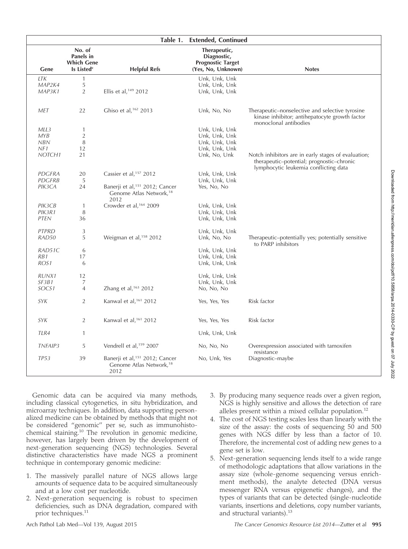|                     |                                                                    | Table 1.                                                                                  | <b>Extended, Continued</b>                                                    |                                                                                                                                           |
|---------------------|--------------------------------------------------------------------|-------------------------------------------------------------------------------------------|-------------------------------------------------------------------------------|-------------------------------------------------------------------------------------------------------------------------------------------|
| Gene                | No. of<br>Panels in<br><b>Which Gene</b><br>Is Listed <sup>c</sup> | <b>Helpful Refs</b>                                                                       | Therapeutic,<br>Diagnostic,<br><b>Prognostic Target</b><br>(Yes, No, Unknown) | <b>Notes</b>                                                                                                                              |
| <b>LTK</b>          | $\mathbf{1}$                                                       |                                                                                           | Unk, Unk, Unk                                                                 |                                                                                                                                           |
| MAP2K4              | 5                                                                  |                                                                                           | Unk, Unk, Unk                                                                 |                                                                                                                                           |
| MAP3K1              | $\overline{2}$                                                     | Ellis et al, <sup>149</sup> 2012                                                          | Unk, Unk, Unk                                                                 |                                                                                                                                           |
| <b>MET</b>          | 22                                                                 | Ghiso et al, 162 2013                                                                     | Unk, No, No                                                                   | Therapeutic–nonselective and selective tyrosine<br>kinase inhibitor; antihepatocyte growth factor<br>monoclonal antibodies                |
| MLL3                | $\mathbf{1}$                                                       |                                                                                           | Unk, Unk, Unk                                                                 |                                                                                                                                           |
| MYB                 | $\overline{2}$                                                     |                                                                                           | Unk, Unk, Unk                                                                 |                                                                                                                                           |
| NBN                 | 8                                                                  |                                                                                           | Unk, Unk, Unk                                                                 |                                                                                                                                           |
| NF1                 | 12                                                                 |                                                                                           | Unk, Unk, Unk                                                                 |                                                                                                                                           |
| NOTCH <sub>1</sub>  | 21                                                                 |                                                                                           | Unk, No, Unk                                                                  | Notch inhibitors are in early stages of evaluation;<br>therapeutic-potential; prognostic-chronic<br>lymphocytic leukemia conflicting data |
| PDGFRA              | 20                                                                 | Cassier et al, <sup>157</sup> 2012                                                        | Unk, Unk, Unk                                                                 |                                                                                                                                           |
| PDGFRB              | 5                                                                  |                                                                                           | Unk, Unk, Unk                                                                 |                                                                                                                                           |
| PIK3CA              | 24                                                                 | Banerji et al, <sup>151</sup> 2012; Cancer<br>Genome Atlas Network, <sup>18</sup><br>2012 | Yes, No, No                                                                   |                                                                                                                                           |
| PIK3CB              | 1                                                                  | Crowder et al, <sup>164</sup> 2009                                                        | Unk, Unk, Unk                                                                 |                                                                                                                                           |
| PIK3R1              | 8                                                                  |                                                                                           | Unk, Unk, Unk                                                                 |                                                                                                                                           |
| <b>PTEN</b>         | 36                                                                 |                                                                                           | Unk, Unk, Unk                                                                 |                                                                                                                                           |
| <b>PTPRD</b>        | 3                                                                  |                                                                                           | Unk, Unk, Unk                                                                 |                                                                                                                                           |
| RAD50               | 5                                                                  | Weigman et al, <sup>158</sup> 2012                                                        | Unk, No, No                                                                   | Therapeutic-potentially yes; potentially sensitive<br>to PARP inhibitors                                                                  |
| RAD51C              | 6                                                                  |                                                                                           | Unk, Unk, Unk                                                                 |                                                                                                                                           |
| RB1                 | 17                                                                 |                                                                                           | Unk, Unk, Unk                                                                 |                                                                                                                                           |
| ROS <sub>1</sub>    | 6                                                                  |                                                                                           | Unk, Unk, Unk                                                                 |                                                                                                                                           |
|                     |                                                                    |                                                                                           |                                                                               |                                                                                                                                           |
| <b>RUNX1</b>        | 12                                                                 |                                                                                           | Unk, Unk, Unk                                                                 |                                                                                                                                           |
| SF3B1               | 7                                                                  |                                                                                           | Unk, Unk, Unk                                                                 |                                                                                                                                           |
| SOCS1               | $\overline{4}$                                                     | Zhang et al, $163$ 2012                                                                   | No, No, No                                                                    |                                                                                                                                           |
| <b>SYK</b>          | $\overline{2}$                                                     | Kanwal et al, <sup>161</sup> 2012                                                         | Yes, Yes, Yes                                                                 | Risk factor                                                                                                                               |
| <b>SYK</b>          | $\overline{2}$                                                     | Kanwal et al, <sup>161</sup> 2012                                                         | Yes, Yes, Yes                                                                 | Risk factor                                                                                                                               |
| TLR4                | $\mathbf{1}$                                                       |                                                                                           | Unk, Unk, Unk                                                                 |                                                                                                                                           |
| TNFAIP <sub>3</sub> | 5                                                                  | Vendrell et al, <sup>159</sup> 2007                                                       | No, No, No                                                                    | Overexpression associated with tamoxifen<br>resistance                                                                                    |
| <b>TP53</b>         | 39                                                                 | Banerji et al, <sup>151</sup> 2012; Cancer<br>Genome Atlas Network, <sup>18</sup><br>2012 | No, Unk, Yes                                                                  | Diagnostic-maybe                                                                                                                          |

Genomic data can be acquired via many methods, including classical cytogenetics, in situ hybridization, and microarray techniques. In addition, data supporting personalized medicine can be obtained by methods that might not be considered ''genomic'' per se, such as immunohistochemical staining.10 The revolution in genomic medicine, however, has largely been driven by the development of next-generation sequencing (NGS) technologies. Several distinctive characteristics have made NGS a prominent technique in contemporary genomic medicine:

- 1. The massively parallel nature of NGS allows large amounts of sequence data to be acquired simultaneously and at a low cost per nucleotide.
- 2. Next-generation sequencing is robust to specimen deficiencies, such as DNA degradation, compared with prior techniques.<sup>11</sup>
- 3. By producing many sequence reads over a given region, NGS is highly sensitive and allows the detection of rare alleles present within a mixed cellular population.<sup>12</sup>
- 4. The cost of NGS testing scales less than linearly with the size of the assay: the costs of sequencing 50 and 500 genes with NGS differ by less than a factor of 10. Therefore, the incremental cost of adding new genes to a gene set is low.
- 5. Next-generation sequencing lends itself to a wide range of methodologic adaptations that allow variations in the assay size (whole-genome sequencing versus enrichment methods), the analyte detected (DNA versus messenger RNA versus epigenetic changes), and the types of variants that can be detected (single-nucleotide variants, insertions and deletions, copy number variants, and structural variants).<sup>13</sup>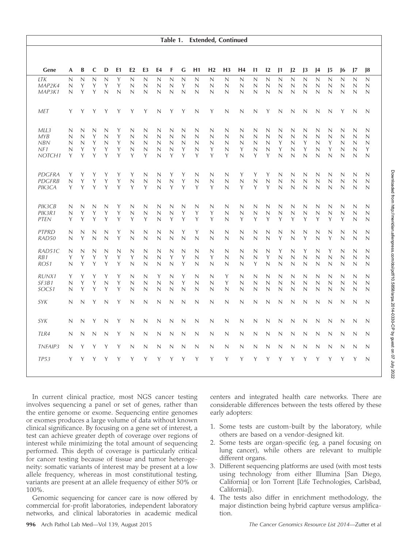|                                                        |                        |                        |                       |                       |                       |                        |                       |                        | Table 1.              |                       |                       | <b>Extended, Continued</b>      |                        |                       |                        |                        |                        |                       |                        |                       |                        |                                  |                                 |                        |
|--------------------------------------------------------|------------------------|------------------------|-----------------------|-----------------------|-----------------------|------------------------|-----------------------|------------------------|-----------------------|-----------------------|-----------------------|---------------------------------|------------------------|-----------------------|------------------------|------------------------|------------------------|-----------------------|------------------------|-----------------------|------------------------|----------------------------------|---------------------------------|------------------------|
|                                                        |                        |                        |                       |                       |                       |                        |                       |                        |                       |                       |                       |                                 |                        |                       |                        |                        |                        |                       |                        |                       |                        |                                  |                                 |                        |
| Gene                                                   | A                      | B                      | C                     | D                     | E <sub>1</sub>        | E2                     | E <sub>3</sub>        | E4                     | F                     | G                     | H1                    | H <sub>2</sub>                  | H <sub>3</sub>         | H4                    | $\mathbf{I}$           | 12                     | 1                      | $ 2\rangle$           | $\mathbf{J}$           | 4                     | 15                     | J6                               | 17                              | 8                      |
| LTK<br>MAP2K4<br>MAP3K1                                | $\mathsf{N}$<br>N<br>N | $\mathsf{N}$<br>Y<br>Y | $\mathbb N$<br>Y<br>Y | N<br>Y<br>N           | Y<br>Y<br>N           | N<br>N<br>N            | N<br>N<br>N           | N<br>N<br>N            | N<br>N<br>N           | $\mathbb N$<br>Y<br>N | N<br>N<br>N           | N<br>N<br>N                     | N<br>N<br>N            | N<br>N<br>N           | N<br>N<br>N            | N<br>N<br>N            | N<br>N<br>N            | $\mathbb N$<br>N<br>N | N<br>N<br>N            | $\mathbb N$<br>N<br>N | N<br>N<br>N            | N<br>N<br>N                      | $\mathbb N$<br>N<br>N           | N<br>N<br>N            |
| <b>MET</b>                                             | Y                      | Y                      | Υ                     | Υ                     | Υ                     | Υ                      | Υ                     | $\mathsf{N}$           | Υ                     | Y                     | N                     | Y                               | $\mathsf{N}$           | N                     | $\mathsf{N}$           | Y                      | N                      | N                     | $\mathsf{N}$           | $\mathbb N$           | N                      | Y                                | $\mathbb N$                     | N                      |
| MLL3<br>MYB<br><b>NBN</b><br>NF1<br>NOTCH <sub>1</sub> | N<br>N<br>N<br>Ν<br>Y  | N<br>N<br>N<br>Y<br>Y  | N<br>Y<br>Y<br>Υ<br>Y | N<br>N<br>N<br>Y<br>Y | Y<br>Y<br>Y<br>Y<br>Y | N<br>N<br>N<br>N<br>Y  | N<br>N<br>N<br>N<br>Y | N<br>N<br>N<br>N<br>N  | N<br>N<br>N<br>N<br>Y | N<br>N<br>N<br>Y<br>Y | N<br>N<br>N<br>N<br>Y | N<br>$\mathbb N$<br>N<br>Y<br>Y | N<br>N<br>N<br>N<br>Y  | N<br>N<br>N<br>Υ<br>N | N<br>N<br>N<br>N<br>Y  | N<br>N<br>N<br>N<br>Y  | N<br>N<br>Y<br>Y<br>N  | N<br>N<br>N<br>N<br>N | N<br>N<br>Y<br>Y<br>N  | N<br>N<br>N<br>N<br>N | N<br>N<br>Y<br>Y<br>N  | N<br>$\mathsf{N}$<br>N<br>N<br>N | N<br>$\mathbb N$<br>N<br>N<br>N | N<br>N<br>N<br>Y<br>N  |
| PDGFRA<br>PDGFRB<br>PIK3CA                             | Y<br>N<br>Y            | Y<br>Y<br>Y            | Y<br>Y<br>Y           | Y<br>Y<br>Y           | Y<br>Y<br>Y           | Υ<br>$\mathsf{N}$<br>Y | N<br>$\mathbb N$<br>Y | N<br>$\mathsf{N}$<br>N | Y<br>$\mathbb N$<br>Y | Υ<br>Y<br>Y           | N<br>N<br>Y           | N<br>$\mathbb N$<br>Y           | N<br>N<br>N            | Υ<br>N<br>Y           | Y<br>N<br>Y            | Υ<br>$\mathsf{N}$<br>Y | N<br>N<br>$\mathsf{N}$ | N<br>N<br>N           | N<br>N<br>N            | N<br>N<br>N           | N<br>$\mathsf{N}$<br>N | N<br>N<br>N                      | N<br>N<br>N                     | $\mathsf{N}$<br>N<br>N |
| PIK3CB<br>PIK3R1<br>PTEN                               | N<br>N<br>Y            | N<br>Y<br>Y            | N<br>Y<br>Y           | N<br>Y<br>Y           | Y<br>Y<br>Y           | N<br>$\mathsf{N}$<br>Υ | N<br>N<br>Y           | N<br>N<br>N            | N<br>$\mathbb N$<br>Y | N<br>Y<br>Y           | N<br>Y<br>Y           | N<br>Y<br>Y                     | N<br>N<br>N            | N<br>N<br>Y           | N<br>N<br>Y            | N<br>$\mathsf{N}$<br>Y | N<br>N<br>Y            | N<br>N<br>Y           | N<br>N<br>Y            | N<br>N<br>Y           | N<br>N<br>Y            | N<br>N<br>Y                      | N<br>N<br>N                     | N<br>N<br>N            |
| <b>PTPRD</b><br>RAD50                                  | N<br>N                 | N<br>Y                 | N<br>N                | N<br>N                | Y<br>Y                | N<br>N                 | N<br>N                | N<br>N                 | N<br>$\mathbb N$      | Υ<br>N                | Y<br>N                | N<br>N                          | N<br>N                 | N<br>N                | N<br>N                 | N<br>$\mathsf{N}$      | N<br>Y                 | N<br>N                | N<br>Y                 | N<br>N                | N<br>Y                 | N<br>N                           | $\mathbb N$<br>N                | $\mathbb N$<br>N       |
| RAD51C<br>RB1<br>ROS <sub>1</sub>                      | N<br>Y<br>N            | N<br>Y<br>Y            | N<br>Y<br>Y           | N<br>Y<br>Y           | N<br>Y<br>Y           | N<br>Y<br>N            | N<br>N<br>N           | N<br>N<br>N            | N<br>Y<br>N           | N<br>Y<br>Υ           | N<br>N<br>N           | N<br>Y<br>N                     | N<br>$\mathsf{N}$<br>N | N<br>N<br>N           | N<br>$\mathsf{N}$<br>Y | N<br>Y<br>N            | Y<br>N<br>N            | N<br>N<br>N           | Y<br>$\mathsf{N}$<br>N | N<br>N<br>N           | Y<br>$\mathsf{N}$<br>N | N<br>N<br>N                      | N<br>N<br>N                     | N<br>N<br>N            |
| <b>RUNX1</b><br>SF3B1<br>SOCS1                         | Y<br>N<br>N            | Y<br>Y<br>Y            | Y<br>Υ<br>Y           | Y<br>N<br>Y           | Y<br>Y<br>Y           | N<br>N<br>N            | N<br>N<br>$\mathbb N$ | Y<br>N<br>N            | N<br>N<br>N           | Y<br>Y<br>N           | N<br>N<br>N           | N<br>N<br>N                     | Y<br>Y<br>N            | N<br>N<br>N           | N<br>N<br>N            | N<br>N<br>N            | N<br>N<br>N            | N<br>N<br>N           | N<br>N<br>N            | N<br>N<br>$\mathbb N$ | N<br>N<br>N            | N<br>N<br>N                      | N<br>N<br>N                     | N<br>N<br>N            |
| <b>SYK</b>                                             | N                      | N                      | Υ                     | N                     | Y                     | N                      | N                     | N                      | N                     | N                     | N                     | N                               | N                      | N                     | N                      | N                      | N                      | N                     | N                      | N                     | N                      | N                                | N                               | N                      |
| <b>SYK</b>                                             | N                      | N                      | Y                     | N                     | Y                     | N                      | N                     | N                      | N                     | N                     | N                     | N                               | N                      | N                     | N                      | N                      | N                      | N                     | N                      | N                     | N                      | N                                | N                               | N                      |
| TLR4                                                   | N                      | N                      | N                     | N                     | Y                     | N                      | N                     | N                      | N                     | N                     | N                     | N                               | N                      | N                     | N                      | N                      | N                      | N                     | N                      | N                     | N                      | N                                | N                               | N                      |
| TNFAIP3                                                | N                      | Υ                      | Υ                     | Υ                     | Y                     | N                      | N                     | N                      | N                     | N                     | N                     | N                               | N                      | N                     | N                      | N                      | N                      | N                     | N                      | N                     | N                      | N                                | N                               | N                      |
| <b>TP53</b>                                            | Y                      | Y                      | Y                     | Y                     | Y                     | Υ                      | Y                     | Y                      | Y                     | Y                     | Υ                     | Y                               | Υ                      | Y                     | Y                      | Y                      | Y                      | Y                     | Y                      | Y                     | Y                      | Y                                | Y                               | N                      |

In current clinical practice, most NGS cancer testing involves sequencing a panel or set of genes, rather than the entire genome or exome. Sequencing entire genomes or exomes produces a large volume of data without known clinical significance. By focusing on a gene set of interest, a test can achieve greater depth of coverage over regions of interest while minimizing the total amount of sequencing performed. This depth of coverage is particularly critical for cancer testing because of tissue and tumor heterogeneity: somatic variants of interest may be present at a low allele frequency, whereas in most constitutional testing, variants are present at an allele frequency of either 50% or 100%.

Genomic sequencing for cancer care is now offered by commercial for-profit laboratories, independent laboratory networks, and clinical laboratories in academic medical

centers and integrated health care networks. There are considerable differences between the tests offered by these early adopters:

- 1. Some tests are custom-built by the laboratory, while others are based on a vendor-designed kit.
- 2. Some tests are organ-specific (eg, a panel focusing on lung cancer), while others are relevant to multiple different organs.
- 3. Different sequencing platforms are used (with most tests using technology from either Illumina [San Diego, California] or Ion Torrent [Life Technologies, Carlsbad, California]).
- 4. The tests also differ in enrichment methodology, the major distinction being hybrid capture versus amplification.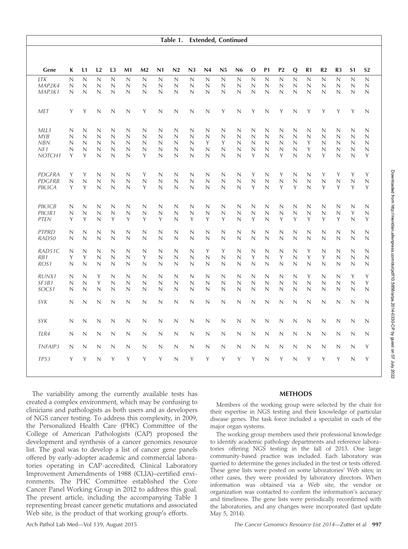|                                                        |                                            |                       |                                   |                        |                                           |                        |                        | Table 1.                        |                       | <b>Extended, Continued</b> |                        |                                           |                                            |                                             |                                   |                                  |                       |                                             |                       |                                             |                                  |
|--------------------------------------------------------|--------------------------------------------|-----------------------|-----------------------------------|------------------------|-------------------------------------------|------------------------|------------------------|---------------------------------|-----------------------|----------------------------|------------------------|-------------------------------------------|--------------------------------------------|---------------------------------------------|-----------------------------------|----------------------------------|-----------------------|---------------------------------------------|-----------------------|---------------------------------------------|----------------------------------|
|                                                        |                                            |                       |                                   |                        |                                           |                        |                        |                                 |                       |                            |                        |                                           |                                            |                                             |                                   |                                  |                       |                                             |                       |                                             |                                  |
| Gene                                                   | K                                          | L1                    | L2                                | L3                     | M1                                        | M <sub>2</sub>         | N <sub>1</sub>         | N <sub>2</sub>                  | N3                    | N <sub>4</sub>             | N <sub>5</sub>         | N6                                        | $\mathbf O$                                | <b>P1</b>                                   | P <sub>2</sub>                    | Q                                | R <sub>1</sub>        | R <sub>2</sub>                              | R <sub>3</sub>        | S <sub>1</sub>                              | S <sub>2</sub>                   |
| <b>LTK</b><br>MAP2K4<br>MAP3K1                         | $\mathbb N$<br>$\mathbb N$<br>$\mathsf{N}$ | N<br>N<br>N           | N<br>N<br>N                       | $\mathsf{N}$<br>N<br>N | N<br>$\mathbb N$<br>$\mathsf{N}$          | $\mathsf{N}$<br>N<br>N | N<br>N<br>N            | N<br>$\mathbb N$<br>N           | N<br>N<br>N           | N<br>N<br>N                | N<br>N<br>N            | N<br>N<br>$\mathbb N$                     | N<br>N<br>$\mathbb N$                      | N<br>$\mathbb N$<br>N                       | $\mathsf{N}$<br>$\mathsf{N}$<br>N | N<br>N<br>N                      | N<br>N<br>N           | N<br>$\mathsf{N}\xspace$<br>N               | N<br>$\mathsf N$<br>N | $\mathsf{N}$<br>$\mathsf{N}$<br>N           | N<br>$\mathbb N$<br>N            |
| <b>MET</b>                                             | Y                                          | Υ                     | N                                 | $\mathbb N$            | $\mathbb N$                               | Υ                      | N                      | $\mathbb N$                     | N                     | N                          | Y                      | N                                         | Υ                                          | $\mathsf{N}$                                | Y                                 | $\mathbb N$                      | Y                     | Y                                           | Y                     | Y                                           | $\mathsf{N}$                     |
| MLL3<br>MYB<br><b>NBN</b><br>NF1<br>NOTCH <sub>1</sub> | $\mathbb N$<br>N<br>N<br>N<br>Y            | N<br>N<br>N<br>N<br>Y | N<br>N<br>N<br>N<br>N             | N<br>N<br>N<br>N<br>N  | $\mathbb N$<br>$\mathbb N$<br>N<br>N<br>N | N<br>N<br>N<br>N<br>Y  | N<br>N<br>N<br>N<br>N  | N<br>N<br>N<br>N<br>N           | N<br>N<br>N<br>N<br>N | N<br>N<br>Y<br>N<br>N      | N<br>N<br>Y<br>N<br>N  | N<br>$\mathbb N$<br>N<br>$\mathbb N$<br>N | N<br>$\mathbb N$<br>N<br>$\mathsf{N}$<br>Y | N<br>$\mathsf{N}$<br>N<br>$\mathsf{N}$<br>N | N<br>N<br>N<br>N<br>Y             | $\mathbb N$<br>N<br>N<br>N<br>N  | N<br>N<br>Y<br>Y<br>N | $\mathsf{N}$<br>$\mathsf{N}$<br>N<br>N<br>Y | N<br>N<br>N<br>N<br>N | $\mathsf{N}$<br>N<br>N<br>$\mathsf{N}$<br>N | $\mathsf{N}$<br>N<br>N<br>N<br>Y |
| PDGFRA<br>PDGFRB<br>PIK3CA                             | Y<br>$\mathbb N$<br>Y                      | Y<br>N<br>Y           | N<br>$\mathsf{N}$<br>$\mathsf{N}$ | $\mathsf{N}$<br>N<br>N | $\mathbb N$<br>$\mathbb N$<br>$\mathbb N$ | Y<br>$\mathsf{N}$<br>Y | N<br>N<br>$\mathsf{N}$ | N<br>$\mathbb N$<br>$\mathbb N$ | N<br>N<br>N           | N<br>N<br>N                | N<br>$\mathsf{N}$<br>N | N<br>$\mathbb N$<br>$\mathbb N$           | Y<br>$\mathbb N$<br>Y                      | N<br>$\mathsf{N}$<br>$\mathsf{N}$           | Y<br>$\mathsf{N}$<br>Y            | $\mathbb{N}$<br>$\mathbb N$<br>Y | N<br>N<br>$\mathbb N$ | Y<br>$\mathsf{N}$<br>Y                      | Y<br>N<br>Y           | Y<br>N<br>Y                                 | Y<br>$\mathsf{N}$<br>Y           |
| PIK3CB<br>PIK3R1<br><b>PTEN</b>                        | $\mathsf{N}$<br>$\mathbb N$<br>Y           | N<br>N<br>Y           | N<br>N<br>N                       | N<br>$\mathbb N$<br>Y  | $\mathsf{N}$<br>$\mathbb N$<br>Y          | N<br>$\mathbb N$<br>Y  | N<br>N<br>Y            | N<br>$\mathbb N$<br>N           | N<br>N<br>Y           | N<br>$\mathsf{N}$<br>Y     | N<br>N<br>Y            | N<br>$\mathbb N$<br>$\mathsf{N}$          | N<br>$\mathbb N$<br>Y                      | $\mathbb N$<br>$\mathbb N$<br>N             | N<br>$\mathsf{N}$<br>Y            | $\mathbb{N}$<br>$\mathbb N$<br>Y | N<br>N<br>Y           | $\mathsf{N}$<br>$\mathsf{N}$<br>Y           | N<br>N<br>Y           | $\mathsf{N}$<br>Y<br>N                      | N<br>$\mathsf{N}$<br>Y           |
| <b>PTPRD</b><br>RAD50                                  | N<br>N                                     | N<br>$\mathsf{N}$     | N<br>N                            | N<br>$\mathsf{N}$      | N<br>$\mathbb{N}$                         | N<br>N                 | N<br>N                 | N<br>N                          | N<br>N                | N<br>$\mathsf{N}$          | N<br>N                 | N<br>$\mathbb N$                          | N<br>$\mathsf{N}$                          | N<br>$\mathsf{N}$                           | N<br>$\mathsf{N}$                 | N<br>$\mathbb N$                 | N<br>N                | N<br>$\mathsf{N}$                           | N<br>$\mathsf{N}$     | N<br>$\mathsf{N}$                           | N<br>N                           |
| RAD51C<br>RB1<br>ROS <sub>1</sub>                      | N<br>Y<br>N                                | N<br>Y<br>N           | N<br>N<br>N                       | N<br>N<br>$\mathsf{N}$ | $\mathsf{N}$<br>N<br>$\mathbb N$          | N<br>Υ<br>N            | N<br>N<br>N            | N<br>N<br>N                     | N<br>N<br>N           | Y<br>N<br>N                | Y<br>N<br>N            | N<br>$\mathbb N$<br>$\mathsf{N}$          | N<br>Υ<br>N                                | N<br>$\mathsf{N}$<br>N                      | N<br>Y<br>N                       | N<br>$\mathbb{N}$<br>N           | Y<br>Y<br>N           | N<br>Y<br>N                                 | N<br>N<br>N           | N<br>N<br>N                                 | N<br>N<br>$\mathsf{N}$           |
| <b>RUNX1</b><br>SF3B1<br>SOCS <sub>1</sub>             | N<br>N<br>N                                | N<br>N<br>N           | Y<br>Υ<br>N                       | N<br>N<br>N            | $\mathsf{N}$<br>$\mathsf{N}$<br>N         | N<br>N<br>N            | N<br>N<br>N            | N<br>N<br>N                     | N<br>N<br>N           | N<br>N<br>N                | N<br>N<br>N            | $\mathsf{N}$<br>$\mathbb N$<br>N          | $\mathsf{N}$<br>$\mathbb N$<br>N           | N<br>N<br>N                                 | N<br>$\mathsf{N}$<br>N            | $\mathbb{N}$<br>N<br>N           | Y<br>N<br>N           | $\mathsf{N}$<br>N<br>N                      | N<br>N<br>N           | Y<br>N<br>N                                 | Y<br>Y<br>N                      |
| <b>SYK</b>                                             | N                                          | N                     | $\mathsf{N}$                      | $\mathsf{N}$           | N                                         | N                      | N                      | N                               | N                     | N                          | N                      | N                                         | N                                          | N                                           | N                                 | N                                | N                     | N                                           | N                     | N                                           | $\mathsf{N}$                     |
| <b>SYK</b>                                             | $\mathsf{N}$                               | N                     | N                                 | N                      | $\mathsf{N}$                              | N                      | N                      | N                               | N                     | N                          | N                      | $\mathbb N$                               | $\mathsf{N}$                               | $\mathbb N$                                 | N                                 | $\mathbb{N}$                     | N                     | $\mathsf{N}$                                | N                     | $\mathsf{N}$                                | $\mathsf{N}$                     |
| TLR4                                                   | N                                          | N                     | N                                 | N                      | N                                         | N                      | N                      | N                               | N                     | N                          | N                      | N                                         | N                                          | N                                           | N                                 | N                                | N                     | N                                           | N                     | N                                           | N                                |
| <b>TNFAIP3</b>                                         | N                                          | N                     | N                                 | N                      | N                                         | N                      | N                      | N                               | N                     | N                          | N                      | N                                         | N                                          | N                                           | N                                 | N                                | N                     | N                                           | N                     | N                                           | Υ                                |
| <b>TP53</b>                                            | Υ                                          | Υ                     | N                                 | Y                      | Y                                         | Y                      | Υ                      | $\mathbb N$                     | Y                     | Υ                          | Y                      | Υ                                         | Υ                                          | N                                           | Y                                 | N                                | Y                     | Y                                           | Y                     | N                                           | Y                                |

Downloaded from http://meridian.allenpress.com/doi/pdf/10.5858/arpa.2014-0330-CP by guest on 07 July 2022 Downloaded from http://meridian.allenpress.com/doi/pdf/10.5858/arpa.2014-0330-CP by guest on 07 July 2022

The variability among the currently available tests has created a complex environment, which may be confusing to clinicians and pathologists as both users and as developers of NGS cancer testing. To address this complexity, in 2009, the Personalized Health Care (PHC) Committee of the College of American Pathologists (CAP) proposed the development and synthesis of a cancer genomics resource list. The goal was to develop a list of cancer gene panels offered by early-adopter academic and commercial laboratories operating in CAP-accredited, Clinical Laboratory Improvement Amendments of 1988 (CLIA)–certified environments. The PHC Committee established the Core Cancer Panel Working Group in 2012 to address this goal. The present article, including the accompanying Table 1 representing breast cancer genetic mutations and associated Web site, is the product of that working group's efforts.

#### **METHODS**

Members of the working group were selected by the chair for their expertise in NGS testing and their knowledge of particular disease genes. The task force included a specialist in each of the major organ systems.

The working group members used their professional knowledge to identify academic pathology departments and reference laboratories offering NGS testing in the fall of 2013. One large community-based practice was included. Each laboratory was queried to determine the genes included in the test or tests offered. These gene lists were posted on some laboratories' Web sites; in other cases, they were provided by laboratory directors. When information was obtained via a Web site, the vendor or organization was contacted to confirm the information's accuracy and timeliness. The gene lists were periodically reconfirmed with the laboratories, and any changes were incorporated (last update May 5, 2014).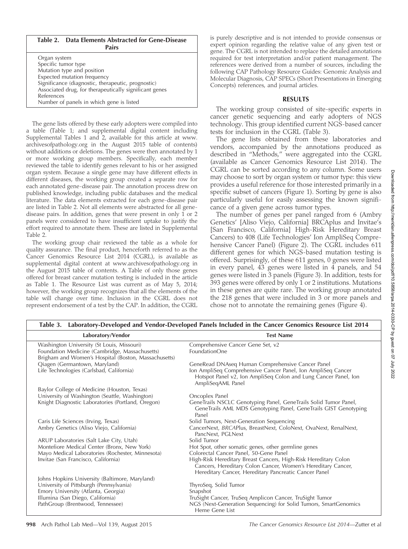#### Table 2. Data Elements Abstracted for Gene-Disease Pairs

| Organ system                                           |
|--------------------------------------------------------|
| Specific tumor type                                    |
| Mutation type and position                             |
| Expected mutation frequency                            |
| Significance (diagnostic, therapeutic, prognostic)     |
| Associated drug, for therapeutically significant genes |
| References                                             |
| Number of panels in which gene is listed               |
|                                                        |

The gene lists offered by these early adopters were compiled into a table (Table 1; and supplemental digital content including Supplemental Tables 1 and 2, available for this article at www. archivesofpathology.org in the August 2015 table of contents) without additions or deletions. The genes were then annotated by 1 or more working group members. Specifically, each member reviewed the table to identify genes relevant to his or her assigned organ system. Because a single gene may have different effects in different diseases, the working group created a separate row for each annotated gene-disease pair. The annotation process drew on published knowledge, including public databases and the medical literature. The data elements extracted for each gene-disease pair are listed in Table 2. Not all elements were abstracted for all genedisease pairs. In addition, genes that were present in only 1 or 2 panels were considered to have insufficient uptake to justify the effort required to annotate them. These are listed in Supplemental Table 2.

The working group chair reviewed the table as a whole for quality assurance. The final product, henceforth referred to as the Cancer Genomics Resource List 2014 (CGRL), is available as supplemental digital content at www.archivesofpathology.org in the August 2015 table of contents. A Table of only those genes offered for breast cancer mutation testing is included in the article as Table 1. The Resource List was current as of May 5, 2014; however, the working group recognizes that all the elements of the table will change over time. Inclusion in the CGRL does not represent endorsement of a test by the CAP. In addition, the CGRL

is purely descriptive and is not intended to provide consensus or expert opinion regarding the relative value of any given test or gene. The CGRL is not intended to replace the detailed annotations required for test interpretation and/or patient management. The references were derived from a number of sources, including the following CAP Pathology Resource Guides: Genomic Analysis and Molecular Diagnosis, CAP SPECs (Short Presentations in Emerging Concepts) references, and journal articles.

# RESULTS

The working group consisted of site-specific experts in cancer genetic sequencing and early adopters of NGS technology. This group identified current NGS-based cancer tests for inclusion in the CGRL (Table 3).

The gene lists obtained from these laboratories and vendors, accompanied by the annotations produced as described in ''Methods,'' were aggregated into the CGRL (available as Cancer Genomics Resource List 2014). The CGRL can be sorted according to any column. Some users may choose to sort by organ system or tumor type: this view provides a useful reference for those interested primarily in a specific subset of cancers (Figure 1). Sorting by gene is also particularly useful for easily assessing the known significance of a given gene across tumor types.

The number of genes per panel ranged from 6 (Ambry Genetics' [Aliso Viejo, California] BRCAplus and Invitae's [San Francisco, California] High-Risk Hereditary Breast Cancers) to 408 (Life Technologies' Ion AmpliSeq Comprehensive Cancer Panel) (Figure 2). The CGRL includes 611 different genes for which NGS-based mutation testing is offered. Surprisingly, of these 611 genes, 0 genes were listed in every panel, 43 genes were listed in 4 panels, and 54 genes were listed in 3 panels (Figure 3). In addition, tests for 393 genes were offered by only 1 or 2 institutions. Mutations in these genes are quite rare. The working group annotated the 218 genes that were included in 3 or more panels and chose not to annotate the remaining genes (Figure 4).

| Table 3. Laboratory-Developed and Vendor-Developed Panels Included in the Cancer Genomics Resource List 2014                                         |                                                                                                                                                                                                          |  |  |  |  |  |  |  |  |
|------------------------------------------------------------------------------------------------------------------------------------------------------|----------------------------------------------------------------------------------------------------------------------------------------------------------------------------------------------------------|--|--|--|--|--|--|--|--|
| Laboratory/Vendor                                                                                                                                    | <b>Test Name</b>                                                                                                                                                                                         |  |  |  |  |  |  |  |  |
| Washington University (St Louis, Missouri)<br>Foundation Medicine (Cambridge, Massachusetts)<br>Brigham and Women's Hospital (Boston, Massachusetts) | Comprehensive Cancer Gene Set, v2<br>FoundationOne                                                                                                                                                       |  |  |  |  |  |  |  |  |
| Qiagen (Germantown, Maryland)<br>Life Technologies (Carlsbad, California)                                                                            | GeneRead DNAseq Human Comprehensive Cancer Panel<br>Ion AmpliSeq Comprehensive Cancer Panel, Ion AmpliSeq Cancer<br>Hotspot Panel v2, Ion AmpliSeq Colon and Lung Cancer Panel, Ion<br>AmpliSegAML Panel |  |  |  |  |  |  |  |  |
| Baylor College of Medicine (Houston, Texas)                                                                                                          |                                                                                                                                                                                                          |  |  |  |  |  |  |  |  |
| University of Washington (Seattle, Washington)                                                                                                       | Oncoplex Panel                                                                                                                                                                                           |  |  |  |  |  |  |  |  |
| Knight Diagnostic Laboratories (Portland, Oregon)                                                                                                    | GeneTrails NSCLC Genotyping Panel, GeneTrails Solid Tumor Panel,<br>GeneTrails AML MDS Genotyping Panel, GeneTrails GIST Genotyping<br>Panel                                                             |  |  |  |  |  |  |  |  |
| Caris Life Sciences (Irving, Texas)                                                                                                                  | Solid Tumors, Next-Generation Sequencing                                                                                                                                                                 |  |  |  |  |  |  |  |  |
| Ambry Genetics (Aliso Viejo, California)                                                                                                             | CancerNext, BRCAPlus, BreastNext, ColoNext, OvaNext, RenalNext,<br>PancNext, PGLNext                                                                                                                     |  |  |  |  |  |  |  |  |
| ARUP Laboratories (Salt Lake City, Utah)                                                                                                             | Solid Tumor                                                                                                                                                                                              |  |  |  |  |  |  |  |  |
| Montefiore Medical Center (Bronx, New York)                                                                                                          | Hot Spot, other somatic genes, other germline genes                                                                                                                                                      |  |  |  |  |  |  |  |  |
| Mayo Medical Laboratories (Rochester, Minnesota)                                                                                                     | Colorectal Cancer Panel, 50-Gene Panel                                                                                                                                                                   |  |  |  |  |  |  |  |  |
| Invitae (San Francisco, California)                                                                                                                  | High-Risk Hereditary Breast Cancers, High-Risk Hereditary Colon<br>Cancers, Hereditary Colon Cancer, Women's Hereditary Cancer,<br>Hereditary Cancer, Hereditary Pancreatic Cancer Panel                 |  |  |  |  |  |  |  |  |
| Johns Hopkins University (Baltimore, Maryland)                                                                                                       |                                                                                                                                                                                                          |  |  |  |  |  |  |  |  |
| University of Pittsburgh (Pennsylvania)                                                                                                              | ThyroSeq, Solid Tumor                                                                                                                                                                                    |  |  |  |  |  |  |  |  |
| Emory University (Atlanta, Georgia)                                                                                                                  | Snapshot                                                                                                                                                                                                 |  |  |  |  |  |  |  |  |
| Illumina (San Diego, California)                                                                                                                     | TruSight Cancer, TruSeq Amplicon Cancer, TruSight Tumor                                                                                                                                                  |  |  |  |  |  |  |  |  |
| PathGroup (Brentwood, Tennessee)                                                                                                                     | NGS (Next-Generation Sequencing) for Solid Tumors, SmartGenomics<br>Heme Gene List                                                                                                                       |  |  |  |  |  |  |  |  |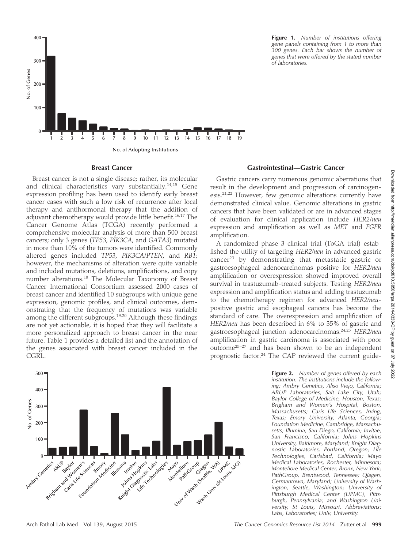

#### Breast Cancer

Breast cancer is not a single disease; rather, its molecular and clinical characteristics vary substantially.14,15 Gene expression profiling has been used to identify early breast cancer cases with such a low risk of recurrence after local therapy and antihormonal therapy that the addition of adjuvant chemotherapy would provide little benefit.<sup>16,17</sup> The Cancer Genome Atlas (TCGA) recently performed a comprehensive molecular analysis of more than 500 breast cancers; only 3 genes (TP53, PIK3CA, and GATA3) mutated in more than 10% of the tumors were identified. Commonly altered genes included TP53, PIK3CA/PTEN, and RB1; however, the mechanisms of alteration were quite variable and included mutations, deletions, amplifications, and copy number alterations.18 The Molecular Taxonomy of Breast Cancer International Consortium assessed 2000 cases of breast cancer and identified 10 subgroups with unique gene expression, genomic profiles, and clinical outcomes, demonstrating that the frequency of mutations was variable among the different subgroups.19,20 Although these findings are not yet actionable, it is hoped that they will facilitate a more personalized approach to breast cancer in the near future. Table 1 provides a detailed list and the annotation of the genes associated with breast cancer included in the CGRL.

# 500 400 **No. of Genes** 300 200 100 Britannico Caristine Cour For the Second Head (International Property of Emily Ave Account Paper Sciences Montevatre in the second complete cine mine Joseph Magnum (St. Louis) JA Jame

Arch Pathol Lab Med—Vol 139, August 2015 The Cancer Genomics Resource List 2014—Zutter et al 999

Figure 1. Number of institutions offering gene panels containing from 1 to more than 300 genes. Each bar shows the number of genes that were offered by the stated number of laboratories.

#### Gastrointestinal—Gastric Cancer

Gastric cancers carry numerous genomic aberrations that result in the development and progression of carcinogenesis.21,22 However, few genomic alterations currently have demonstrated clinical value. Genomic alterations in gastric cancers that have been validated or are in advanced stages of evaluation for clinical application include HER2/neu expression and amplification as well as MET and FGFR amplification.

A randomized phase 3 clinical trial (ToGA trial) established the utility of targeting HER2/neu in advanced gastric cancer<sup>23</sup> by demonstrating that metastatic gastric or gastroesophageal adenocarcinomas positive for HER2/neu amplification or overexpression showed improved overall survival in trastuzumab-treated subjects. Testing HER2/neu expression and amplification status and adding trastuzumab to the chemotherapy regimen for advanced HER2/neupositive gastric and esophageal cancers has become the standard of care. The overexpression and amplification of HER2/neu has been described in 6% to 35% of gastric and gastroesophageal junction adenocarcinomas.<sup>24,25</sup> HER2/neu amplification in gastric carcinoma is associated with poor outcome25–27 and has been shown to be an independent prognostic factor.<sup>24</sup> The CAP reviewed the current guide-

> Figure 2. Number of genes offered by each institution. The institutions include the following: Ambry Genetics, Aliso Viejo, California; ARUP Laboratories, Salt Lake City, Utah; Baylor College of Medicine, Houston, Texas; Brigham and Women's Hospital, Boston, Massachusetts; Caris Life Sciences, Irving, Texas; Emory University, Atlanta, Georgia; Foundation Medicine, Cambridge, Massachusetts; Illumina, San Diego, California; Invitae, San Francisco, California; Johns Hopkins University, Baltimore, Maryland; Knight Diagnostic Laboratories, Portland, Oregon; Life Technologies, Carlsbad, California; Mayo Medical Laboratories, Rochester, Minnesota; Montefiore Medical Center, Bronx, New York; PathGroup, Brentwood, Tennessee; Qiagen, Germantown, Maryland; University of Washington, Seattle, Washington; University of Pittsburgh Medical Center (UPMC), Pittsburgh, Pennsylvania; and Washington University, St Louis, Missouri. Abbreviations: Labs, Laboratories; Univ, University.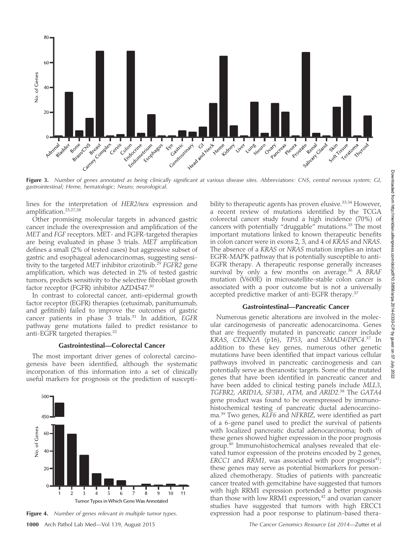

Figure 3. Number of genes annotated as being clinically significant at various disease sites. Abbreviations: CNS, central nervous system; GI, gastrointestinal; Heme, hematologic; Neuro; neurological.

lines for the interpretation of HER2/neu expression and amplification.<sup>23,27,28</sup>

Other promising molecular targets in advanced gastric cancer include the overexpression and amplification of the MET and FGF receptors. MET- and FGFR-targeted therapies are being evaluated in phase 3 trials. MET amplification defines a small (2% of tested cases) but aggressive subset of gastric and esophageal adenocarcinomas, suggesting sensitivity to the targeted MET inhibitor crizotinib.<sup>29</sup> FGFR2 gene amplification, which was detected in 2% of tested gastric tumors, predicts sensitivity to the selective fibroblast growth factor receptor (FGFR) inhibitor AZD4547.30

In contrast to colorectal cancer, anti–epidermal growth factor receptor (EGFR) therapies (cetuximab, panitumumab, and gefitinib) failed to improve the outcomes of gastric cancer patients in phase 3 trials.<sup>31</sup> In addition, *EGFR* pathway gene mutations failed to predict resistance to anti-EGFR targeted therapies.<sup>32</sup>

#### Gastrointestinal—Colorectal Cancer

The most important driver genes of colorectal carcinogenesis have been identified, although the systematic incorporation of this information into a set of clinically useful markers for prognosis or the prediction of suscepti-



bility to therapeutic agents has proven elusive.<sup>33,34</sup> However, a recent review of mutations identified by the TCGA colorectal cancer study found a high incidence (70%) of cancers with potentially "druggable" mutations.<sup>35</sup> The most important mutations linked to known therapeutic benefits in colon cancer were in exons 2, 3, and 4 of KRAS and NRAS. The absence of a KRAS or NRAS mutation implies an intact EGFR-MAPK pathway that is potentially susceptible to anti-EGFR therapy. A therapeutic response generally increases survival by only a few months on average. $36$  A BRAF mutation (V600E) in microsatellite-stable colon cancer is associated with a poor outcome but is not a universally accepted predictive marker of anti-EGFR therapy.37

#### Gastrointestinal—Pancreatic Cancer

Numerous genetic alterations are involved in the molecular carcinogenesis of pancreatic adenocarcinoma. Genes that are frequently mutated in pancreatic cancer include KRAS, CDKN2A (p16), TP53, and SMAD4/DPC4. <sup>37</sup> In addition to these key genes, numerous other genetic mutations have been identified that impact various cellular pathways involved in pancreatic carcinogenesis and can potentially serve as theranostic targets. Some of the mutated genes that have been identified in pancreatic cancer and have been added to clinical testing panels include MLL3, TGFBR2, ARID1A, SF3B1, ATM, and ARID2.<sup>38</sup> The GATA4 gene product was found to be overexpressed by immunohistochemical testing of pancreatic ductal adenocarcinoma.39 Two genes, KLF6 and NFKBIZ, were identified as part of a 6-gene panel used to predict the survival of patients with localized pancreatic ductal adenocarcinoma; both of these genes showed higher expression in the poor prognosis group.<sup>40</sup> Immunohistochemical analyses revealed that elevated tumor expression of the proteins encoded by 2 genes, ERCC1 and RRM1, was associated with poor prognosis $41$ ; these genes may serve as potential biomarkers for personalized chemotherapy. Studies of patients with pancreatic cancer treated with gemcitabine have suggested that tumors with high RRM1 expression portended a better prognosis than those with low RRM1 expression, $42$  and ovarian cancer studies have suggested that tumors with high ERCC1 Figure 4. Number of genes relevant in multiple tumor types. expression had a poor response to platinum-based thera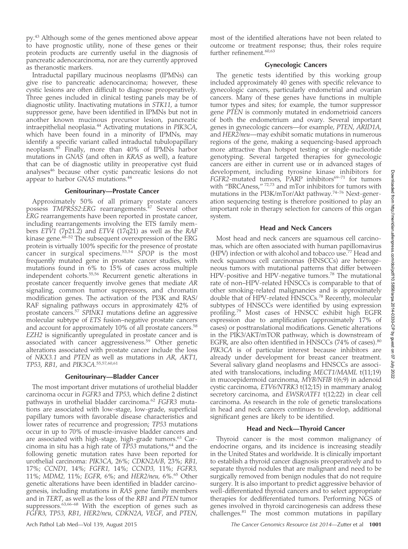py.<sup>43</sup> Although some of the genes mentioned above appear to have prognostic utility, none of these genes or their protein products are currently useful in the diagnosis of pancreatic adenocarcinoma, nor are they currently approved as theranostic markers.

Intraductal papillary mucinous neoplasms (IPMNs) can give rise to pancreatic adenocarcinoma; however, these cystic lesions are often difficult to diagnose preoperatively. Three genes included in clinical testing panels may be of diagnostic utility. Inactivating mutations in STK11, a tumor suppressor gene, have been identified in IPMNs but not in another known mucinous precursor lesion, pancreatic intraepithelial neoplasia.<sup>44</sup> Activating mutations in PIK3CA, which have been found in a minority of IPMNs, may identify a specific variant called intraductal tubulopapillary neoplasm.<sup>45</sup> Finally, more than 40% of IPMNs harbor mutations in GNAS (and often in KRAS as well), a feature that can be of diagnostic utility in preoperative cyst fluid analyses<sup>46</sup> because other cystic pancreatic lesions do not appear to harbor GNAS mutations.<sup>44</sup>

#### Genitourinary—Prostate Cancer

Approximately 50% of all primary prostate cancers possess TMPRSS2:ERG rearrangements.<sup>47</sup> Several other ERG rearrangements have been reported in prostate cancer, including rearrangements involving the ETS family members ETV1 (7p21.2) and ETV4 (17q21) as well as the RAF kinase gene.<sup>48–52</sup> The subsequent overexpression of the ERG protein is virtually 100% specific for the presence of prostate cancer in surgical specimens.<sup>53,54</sup> SPOP is the most frequently mutated gene in prostate cancer studies, with mutations found in 6% to 15% of cases across multiple independent cohorts.55,56 Recurrent genetic alterations in prostate cancer frequently involve genes that mediate AR signaling, common tumor suppressors, and chromatin modification genes. The activation of the PI3K and RAS/ RAF signaling pathways occurs in approximately 42% of prostate cancers.57 SPINK1 mutations define an aggressive molecular subtype of ETS fusion–negative prostate cancers and account for approximately 10% of all prostate cancers.<sup>58</sup> EZH2 is significantly upregulated in prostate cancer and is associated with cancer aggressiveness.<sup>59</sup> Other genetic alterations associated with prostate cancer include the loss of NKX3.1 and PTEN as well as mutations in AR, AKT1, TP53, RB1, and PIK3CA. 55,57,60,61

#### Genitourinary—Bladder Cancer

The most important driver mutations of urothelial bladder carcinoma occur in FGFR3 and TP53, which define 2 distinct pathways in urothelial bladder carcinoma.<sup>62</sup> FGFR3 mutations are associated with low-stage, low-grade, superficial papillary tumors with favorable disease characteristics and lower rates of recurrence and progression; TP53 mutations occur in up to 70% of muscle-invasive bladder cancers and are associated with high-stage, high-grade tumors.<sup>63</sup> Carcinoma in situ has a high rate of  $TP53$  mutations, $64$  and the following genetic mutation rates have been reported for urothelial carcinoma: PIK3CA, 26%; CDKN2A/B, 23%; RB1, 17%; CCND1, 14%; FGFR1, 14%; CCND3, 11%; FGFR3, 11%; MDM2, 11%; EGFR, 6%; and HER2/neu, 6%.<sup>65</sup> Other genetic alterations have been identified in bladder carcinogenesis, including mutations in RAS gene family members and in TERT, as well as the loss of the RB1 and PTEN tumor suppressors.<sup>63,66–68</sup> With the exception of genes such as FGFR3, TP53, RB1, HER2/neu, CDKN2A, VEGF, and PTEN,

most of the identified alterations have not been related to outcome or treatment response; thus, their roles require further refinement.<sup>60,63</sup>

# Gynecologic Cancers

The genetic tests identified by this working group included approximately 40 genes with specific relevance to gynecologic cancers, particularly endometrial and ovarian cancers. Many of these genes have functions in multiple tumor types and sites; for example, the tumor suppressor gene PTEN is commonly mutated in endometrioid cancers of both the endometrium and ovary. Several important genes in gynecologic cancers—for example, PTEN, ARID1A, and HER2/neu—may exhibit somatic mutations in numerous regions of the gene, making a sequencing-based approach more attractive than hotspot testing or single-nucleotide genotyping. Several targeted therapies for gynecologic cancers are either in current use or in advanced stages of development, including tyrosine kinase inhibitors for FGFR2-mutated tumors, PARP inhibitors<sup>69-71</sup> for tumors with "BRCAness,"<sup>72,73</sup> and mTor inhibitors for tumors with mutations in the PI3K/mTor/Akt pathway.<sup>74-76</sup> Next-generation sequencing testing is therefore positioned to play an important role in therapy selection for cancers of this organ system.

#### Head and Neck Cancers

Most head and neck cancers are squamous cell carcinomas, which are often associated with human papillomavirus (HPV) infection or with alcohol and tobacco use.77 Head and neck squamous cell carcinomas (HNSCCs) are heterogeneous tumors with mutational patterns that differ between HPV-positive and HPV-negative tumors.<sup>78</sup> The mutational rate of non–HPV-related HNSCCs is comparable to that of other smoking-related malignancies and is approximately double that of HPV-related HNSCCs.78 Recently, molecular subtypes of HNSCCs were identified by using expression profiling.<sup>79</sup> Most cases of HNSCC exhibit high EGFR expression due to amplification (approximately 17% of cases) or posttranslational modifications. Genetic alterations in the PIK3/AKT/mTOR pathway, which is downstream of EGFR, are also often identified in HNSCCs (74% of cases).<sup>80</sup> PIK3CA is of particular interest because inhibitors are already under development for breast cancer treatment. Several salivary gland neoplasms and HNSCCs are associated with translocations, including MECT1/MAML t(11;19) in mucoepidermoid carcinoma, MYB/NFIB t(6;9) in adenoid cystic carcinoma, ETV6/NTRK3 t(12;15) in mammary analog secretory carcinoma, and EWSR/ATF1 t(12;22) in clear cell carcinoma. As research in the role of genetic translocations in head and neck cancers continues to develop, additional significant genes are likely to be identified.

### Head and Neck—Thyroid Cancer

Thyroid cancer is the most common malignancy of endocrine organs, and its incidence is increasing steadily in the United States and worldwide. It is clinically important to establish a thyroid cancer diagnosis preoperatively and to separate thyroid nodules that are malignant and need to be surgically removed from benign nodules that do not require surgery. It is also important to predict aggressive behavior of well-differentiated thyroid cancers and to select appropriate therapies for dedifferentiated tumors. Performing NGS of genes involved in thyroid carcinogenesis can address these challenges.<sup>81</sup> The most common mutations in papillary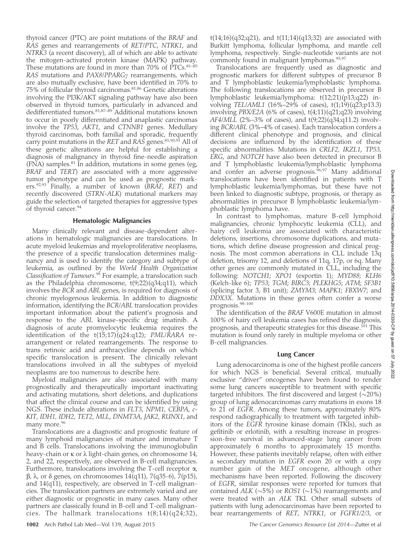thyroid cancer (PTC) are point mutations of the BRAF and RAS genes and rearrangements of RET/PTC, NTRK1, and NTRK3 (a recent discovery), all of which are able to activate the mitogen-activated protein kinase (MAPK) pathway. These mutations are found in more than  $70\%$  of  $PTCs$ .  $81-85$ RAS mutations and  $PAX8/PPARG\gamma$  rearrangements, which are also mutually exclusive, have been identified in 70% to 75% of follicular thyroid carcinomas.<sup>81,86</sup> Genetic alterations involving the PI3K/AKT signaling pathway have also been observed in thyroid tumors, particularly in advanced and dedifferentiated tumors.81,87–89 Additional mutations known to occur in poorly differentiated and anaplastic carcinomas involve the TP53, AKT1, and CTNNB1 genes. Medullary thyroid carcinomas, both familial and sporadic, frequently carry point mutations in the RET and RAS genes.<sup>81,90,91</sup> All of these genetic alterations are helpful for establishing a diagnosis of malignancy in thyroid fine-needle aspiration (FNA) samples. $81$  In addition, mutations in some genes (eg, BRAF and TERT) are associated with a more aggressive tumor phenotype and can be used as prognostic markers.<sup>92,93</sup> Finally, a number of known (BRAF, RET) and recently discovered (STRN-ALK) mutational markers may guide the selection of targeted therapies for aggressive types of thyroid cancer.<sup>94</sup>

# Hematologic Malignancies

Many clinically relevant and disease-dependent alterations in hematologic malignancies are translocations. In acute myeloid leukemias and myeloproliferative neoplasms, the presence of a specific translocation determines malignancy and is used to identify the category and subtype of leukemia, as outlined by the World Health Organization Classification of Tumours.<sup>95</sup> For example, a translocation such as the Philadelphia chromosome,  $t(9;22)(q34;q11)$ , which involves the BCR and ABL genes, is required for diagnosis of chronic myelogenous leukemia. In addition to diagnostic information, identifying the BCR/ABL translocation provides important information about the patient's prognosis and response to the ABL kinase-specific drug imatinib. A diagnosis of acute promyelocytic leukemia requires the identification of the t(15;17)(q24:q12); PML/RARA rearrangement or related rearrangements. The response to trans retinoic acid and anthracycline depends on which specific translocation is present. The clinically relevant translocations involved in all the subtypes of myeloid neoplasms are too numerous to describe here.

Myeloid malignancies are also associated with many prognostically and therapeutically important inactivating and activating mutations, short deletions, and duplications that affect the clinical course and can be identified by using NGS. These include alterations in FLT3, NPM1, CEBPA, c-KIT, IDH1, IDH2, TET2, MLL, DNMT3A, JAK2, RUNX1, and many more. $96$ 

Translocations are a diagnostic and prognostic feature of many lymphoid malignancies of mature and immature T and B cells. Translocations involving the immunoglobulin heavy-chain or  $\kappa$  or  $\lambda$  light-chain genes, on chromosome 14, 2, and 22, respectively, are observed in B-cell malignancies. Furthermore, translocations involving the T-cell receptor  $\alpha$ ,  $β$ , λ, or δ genes, on chromosomes 14(q11), 7(q35-6), 7(p15), and 14(q11), respectively, are observed in T-cell malignancies. The translocation partners are extremely varied and are either diagnostic or prognostic in many cases. Many other partners are classically found in B-cell and T-cell malignancies. The hallmark translocations  $t(8,14)(q24,32)$ ,

 $t(14;16)(q32;q21)$ , and  $t(11;14)(q13;32)$  are associated with Burkitt lymphoma, follicular lymphoma, and mantle cell lymphoma, respectively. Single-nucleotide variants are not commonly found in malignant lymphomas.<sup>95,97</sup>

Translocations are frequently used as diagnostic and prognostic markers for different subtypes of precursor B and T lymphoblastic leukemia/lymphoblastic lymphoma. The following translocations are observed in precursor B lymphoblastic leukemia/lymphoma: t(12;21)(p13;q22) involving TEL/AML1 (16%–29% of cases), t(1;19)(q23;p13.3) involving PBX/E2A (6% of cases), t(4;11)(q21;q23) involving AF4/MLL (2%-3% of cases), and  $t(9;22)(q34;q11.2)$  involving BCR/ABL (3%–4% of cases). Each translocation confers a different clinical phenotype and prognosis, and clinical decisions are influenced by the identification of these specific abnormalities. Mutations in CRLF2, IKZL1, TP53, ERG, and NOTCH have also been detected in precursor B and T lymphoblastic leukemia/lymphoblastic lymphoma and confer an adverse prognosis.<sup>96,97</sup> Many additional translocations have been identified in patients with T lymphoblastic leukemia/lymphomas, but these have not been linked to diagnostic subtype, prognosis, or therapy as abnormalities in precursor B lymphoblastic leukemia/lymphoblastic lymphoma have.

In contrast to lymphomas, mature B-cell lymphoid malignancies, chronic lymphocytic leukemia (CLL), and hairy cell leukemia are associated with characteristic deletions, insertions, chromosome duplications, and mutations, which define disease progression and clinical prognosis. The most common aberrations in CLL include 13q deletion, trisomy 12, and deletions of 11q, 17p, or 6q. Many other genes are commonly mutated in CLL, including the following: NOTCH1; XPO1 (exportin 1); MYD88; KLH6 (Kelch-like 6); TP53; TGM; BIRC3; PLEKHG5; ATM; SF3B1 (splicing factor 3, B1 unit); ZMYM3; MAPK1; FBXW7; and DDX3X. Mutations in these genes often confer a worse prognosis.98–100

The identification of the BRAF V600E mutation in almost 100% of hairy cell leukemia cases has refined the diagnosis, prognosis, and therapeutic strategies for this disease.<sup>101</sup> This mutation is found only rarely in multiple myeloma or other B-cell malignancies.

# Lung Cancer

Lung adenocarcinoma is one of the highest profile cancers for which NGS is beneficial. Several critical, mutually exclusive ''driver'' oncogenes have been found to render some lung cancers susceptible to treatment with specific targeted inhibitors. The first discovered and largest  $(\sim 20\%)$ group of lung adenocarcinomas carry mutations in exons 18 to 21 of EGFR. Among these tumors, approximately 80% respond radiographically to treatment with targeted inhibitors of the EGFR tyrosine kinase domain (TKIs), such as gefitinib or erlotinib, with a resulting increase in progression-free survival in advanced-stage lung cancer from approximately 6 months to approximately 15 months. However, these patients inevitably relapse, often with either a secondary mutation in EGFR exon 20 or with a copy number gain of the MET oncogene, although other mechanisms have been reported. Following the discovery of EGFR, similar responses were reported for tumors that contained ALK ( $\sim$ 5%) or ROS1 ( $\sim$ 1%) rearrangements and were treated with an ALK TKI. Other small subsets of patients with lung adenocarcinomas have been reported to bear rearrangements of RET, NTRK1, or FGFR1/2/3, or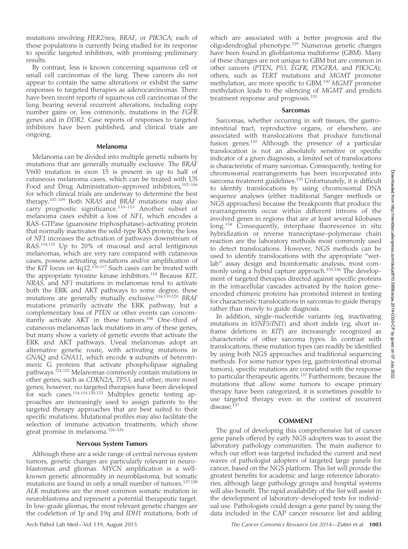mutations involving HER2/neu, BRAF, or PIK3CA; each of these populations is currently being studied for its response to specific targeted inhibitors, with promising preliminary results.

By contrast, less is known concerning squamous cell or small cell carcinomas of the lung. These cancers do not appear to contain the same alterations or exhibit the same responses to targeted therapies as adenocarcinomas. There have been recent reports of squamous cell carcinomas of the lung bearing several recurrent alterations, including copy number gains or, less commonly, mutations in the FGFR genes and in DDR2. Case reports of responses to targeted inhibitors have been published, and clinical trials are ongoing.

#### Melanoma

Melanoma can be divided into multiple genetic subsets by mutations that are generally mutually exclusive. The BRAF V600 mutation in exon 15 is present in up to half of cutaneous melanoma cases, which can be treated with US Food and Drug Administration–approved inhibitors,<sup>102–106</sup> for which clinical trials are underway to determine the best therapy.107–109 Both NRAS and BRAF mutations may also carry prognostic significance.<sup>110-113</sup> Another subset of melanoma cases exhibit a loss of NF1, which encodes a RAS-GTPase (guanosine triphosphatase)–activating protein that normally inactivates the wild-type RAS protein; the loss of NF1 increases the activation of pathways downstream of RAS.114,115 Up to 20% of mucosal and acral lentiginous melanomas, which are very rare compared with cutaneous cases, possess activating mutations and/or amplification of the  $KIT$  locus on 4q12.<sup>116,117</sup> Such cases can be treated with the appropriate tyrosine kinase inhibitors.<sup>118</sup> Because KIT, NRAS, and NF1 mutations in melanomas tend to activate both the ERK and AKT pathways to some degree, these mutations are generally mutually exclusive.<sup>114,119,120</sup> BRAF mutations primarily activate the ERK pathway, but a complementary loss of PTEN or other events can concomitantly activate AKT in these tumors.<sup>108</sup> One-third of cutaneous melanomas lack mutations in any of these genes, but many show a variety of genetic events that activate the ERK and AKT pathways. Uveal melanomas adopt an alternative genetic route, with activating mutations in  $GNAQ$  and  $GNA11$ , which encode  $\alpha$  subunits of heterotrimeric G proteins that activate phospholipase signaling pathways.121,122 Melanomas commonly contain mutations in other genes, such as CDKN2A, TP53, and other, more novel genes; however, no targeted therapies have been developed for such cases.<sup>114,119,120,123</sup> Multiplex genetic testing approaches are increasingly used to assign patients to the targeted therapy approaches that are best suited to their specific mutations. Mutational profiles may also facilitate the selection of immune activation treatments, which show great promise in melanoma.124–126

# Nervous System Tumors

Although there are a wide range of central nervous system tumors, genetic changes are particularly relevant in neuroblastomas and gliomas. MYCN amplification is a wellknown genetic abnormality in neuroblastoma, but somatic mutations are found in only a small number of tumors.<sup>127,128</sup> ALK mutations are the most common somatic mutation in neuroblastoma and represent a potential therapeutic target. In low-grade gliomas, the most relevant genetic changes are the codeletion of 1p and 19q and IDH1 mutations, both of

which are associated with a better prognosis and the oligodendroglial phenotype.<sup>129</sup> Numerous genetic changes have been found in glioblastoma multiforme (GBM). Many of these changes are not unique to GBM but are common in other cancers (PTEN, P53, EGFR, PDGFRA, and PIK3CA); others, such as TERT mutations and MGMT promoter methylation, are more specific to GBM.<sup>130</sup> MGMT promoter methylation leads to the silencing of MGMT and predicts treatment response and prognosis.<sup>131</sup>

## Sarcomas

Sarcomas, whether occurring in soft tissues, the gastrointestinal tract, reproductive organs, or elsewhere, are associated with translocations that produce functional fusion genes.<sup>132</sup> Although the presence of a particular translocation is not an absolutely sensitive or specific indicator of a given diagnosis, a limited set of translocations is characteristic of many sarcomas. Consequently, testing for chromosomal rearrangements has been incorporated into sarcoma treatment guidelines.<sup>133</sup> Unfortunately, it is difficult to identify translocations by using chromosomal DNA sequence analyses (either traditional Sanger methods or NGS approaches) because the breakpoints that produce the rearrangements occur within different introns of the involved genes in regions that are at least several kilobases long.<sup>134</sup> Consequently, interphase fluorescence in situ hybridization or reverse transcriptase–polymerase chain reaction are the laboratory methods most commonly used to detect translocations. However, NGS methods can be used to identify translocations with the appropriate ''wetlab'' assay design and bioinformatic analysis, most commonly using a hybrid capture approach.<sup>135,136</sup> The development of targeted therapies directed against specific proteins in the intracellular cascades activated by the fusion gene– encoded chimeric proteins has promoted interest in testing for characteristic translocations in sarcomas to guide therapy rather than merely to guide diagnosis.

In addition, single-nucleotide variants (eg, inactivating mutations in hSNF5/INI1) and short indels (eg, short inframe deletions in KIT) are increasingly recognized as characteristic of other sarcoma types. In contrast with translocations, these mutation types can readily be identified by using both NGS approaches and traditional sequencing methods. For some tumor types (eg, gastrointestinal stromal tumors), specific mutations are correlated with the response to particular therapeutic agents.<sup>137</sup> Furthermore, because the mutations that allow some tumors to escape primary therapy have been categorized, it is sometimes possible to use targeted therapy even in the context of recurrent disease.<sup>137</sup>

# COMMENT

The goal of developing this comprehensive list of cancer gene panels offered by early NGS adopters was to assist the laboratory pathology communities. The main audience to which our effort was targeted included the current and next waves of pathologist adopters of targeted large panels for cancer, based on the NGS platform. This list will provide the greatest benefits for academic and large reference laboratories, although large pathology groups and hospital systems will also benefit. The rapid availability of the list will assist in the development of laboratory-developed tests for individual use. Pathologists could design a gene panel by using the data included in the CAP cancer resource list and adding

Arch Pathol Lab Med—Vol 139, August 2015 The Cancer Genomics Resource List 2014—Zutter et al 1003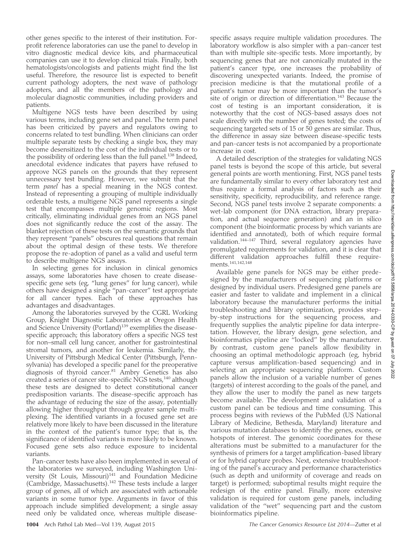other genes specific to the interest of their institution. Forprofit reference laboratories can use the panel to develop in vitro diagnostic medical device kits, and pharmaceutical companies can use it to develop clinical trials. Finally, both hematologists/oncologists and patients might find the list useful. Therefore, the resource list is expected to benefit current pathology adopters, the next wave of pathology adopters, and all the members of the pathology and molecular diagnostic communities, including providers and patients.

Multigene NGS tests have been described by using various terms, including gene set and panel. The term panel has been criticized by payers and regulators owing to concerns related to test bundling. When clinicians can order multiple separate tests by checking a single box, they may become desensitized to the cost of the individual tests or to the possibility of ordering less than the full panel.<sup>138</sup> Indeed, anecdotal evidence indicates that payers have refused to approve NGS panels on the grounds that they represent unnecessary test bundling. However, we submit that the term *panel* has a special meaning in the NGS context. Instead of representing a grouping of multiple individually orderable tests, a multigene NGS panel represents a single test that encompasses multiple genomic regions. Most critically, eliminating individual genes from an NGS panel does not significantly reduce the cost of the assay. The blanket rejection of these tests on the semantic grounds that they represent ''panels'' obscures real questions that remain about the optimal design of these tests. We therefore propose the re-adoption of panel as a valid and useful term to describe multigene NGS assays.

In selecting genes for inclusion in clinical genomics assays, some laboratories have chosen to create diseasespecific gene sets (eg, "lung genes" for lung cancer), while others have designed a single ''pan-cancer'' test appropriate for all cancer types. Each of these approaches has advantages and disadvantages.

Among the laboratories surveyed by the CGRL Working Group, Knight Diagnostic Laboratories at Oregon Health and Science University (Portland)<sup>139</sup> exemplifies the diseasespecific approach; this laboratory offers a specific NGS test for non–small cell lung cancer, another for gastrointestinal stromal tumors, and another for leukemia. Similarly, the University of Pittsburgh Medical Center (Pittsburgh, Pennsylvania) has developed a specific panel for the preoperative diagnosis of thyroid cancer.<sup>81</sup> Ambry Genetics has also created a series of cancer site-specific NGS tests,<sup>140</sup> although these tests are designed to detect constitutional cancer predisposition variants. The disease-specific approach has the advantage of reducing the size of the assay, potentially allowing higher throughput through greater sample multiplexing. The identified variants in a focused gene set are relatively more likely to have been discussed in the literature in the context of the patient's tumor type; that is, the significance of identified variants is more likely to be known. Focused gene sets also reduce exposure to incidental variants.

Pan-cancer tests have also been implemented in several of the laboratories we surveyed, including Washington University (St Louis, Missouri)<sup>141</sup> and Foundation Medicine (Cambridge, Massachusetts).<sup>142</sup> These tests include a larger group of genes, all of which are associated with actionable variants in some tumor type. Arguments in favor of this approach include simplified development; a single assay need only be validated once, whereas multiple diseasespecific assays require multiple validation procedures. The laboratory workflow is also simpler with a pan-cancer test than with multiple site-specific tests. More importantly, by sequencing genes that are not canonically mutated in the patient's cancer type, one increases the probability of discovering unexpected variants. Indeed, the promise of precision medicine is that the mutational profile of a patient's tumor may be more important than the tumor's site of origin or direction of differentiation.<sup>143</sup> Because the cost of testing is an important consideration, it is noteworthy that the cost of NGS-based assays does not scale directly with the number of genes tested; the costs of sequencing targeted sets of 15 or 50 genes are similar. Thus, the difference in assay size between disease-specific tests and pan-cancer tests is not accompanied by a proportionate increase in cost.

A detailed description of the strategies for validating NGS panel tests is beyond the scope of this article, but several general points are worth mentioning. First, NGS panel tests are fundamentally similar to every other laboratory test and thus require a formal analysis of factors such as their sensitivity, specificity, reproducibility, and reference range. Second, NGS panel tests involve 2 separate components: a wet-lab component (for DNA extraction, library preparation, and actual sequence generation) and an in silico component (the bioinformatic process by which variants are identified and annotated), both of which require formal validation.144–147 Third, several regulatory agencies have promulgated requirements for validation, and it is clear that different validation approaches fulfill these requirements.141,142,148

Available gene panels for NGS may be either predesigned by the manufacturers of sequencing platforms or designed by individual users. Predesigned gene panels are easier and faster to validate and implement in a clinical laboratory because the manufacturer performs the initial troubleshooting and library optimization, provides stepby-step instructions for the sequencing process, and frequently supplies the analytic pipeline for data interpretation. However, the library design, gene selection, and bioinformatics pipeline are ''locked'' by the manufacturer. By contrast, custom gene panels allow flexibility in choosing an optimal methodologic approach (eg, hybrid capture versus amplification-based sequencing) and in selecting an appropriate sequencing platform. Custom panels allow the inclusion of a variable number of genes (targets) of interest according to the goals of the panel, and they allow the user to modify the panel as new targets become available. The development and validation of a custom panel can be tedious and time consuming. This process begins with reviews of the PubMed (US National Library of Medicine, Bethesda, Maryland) literature and various mutation databases to identify the genes, exons, or hotspots of interest. The genomic coordinates for these alterations must be submitted to a manufacturer for the synthesis of primers for a target amplification-based library or for hybrid capture probes. Next, extensive troubleshooting of the panel's accuracy and performance characteristics (such as depth and uniformity of coverage and reads on target) is performed; suboptimal results might require the redesign of the entire panel. Finally, more extensive validation is required for custom gene panels, including validation of the ''wet'' sequencing part and the custom bioinformatics pipeline.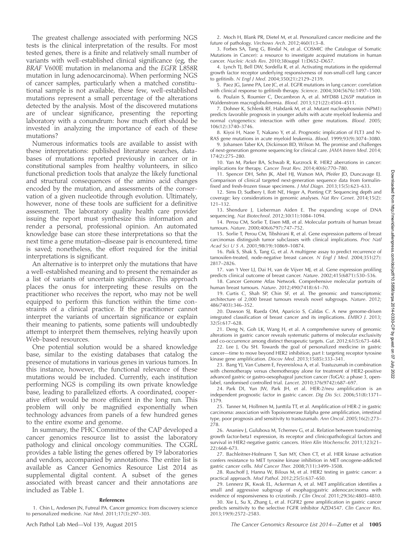The greatest challenge associated with performing NGS tests is the clinical interpretation of the results. For most tested genes, there is a finite and relatively small number of variants with well-established clinical significance (eg, the BRAF V600E mutation in melanoma and the EGFR L858R mutation in lung adenocarcinoma). When performing NGS of cancer samples, particularly when a matched constitutional sample is not available, these few, well-established mutations represent a small percentage of the alterations detected by the analysis. Most of the discovered mutations are of unclear significance, presenting the reporting laboratory with a conundrum: how much effort should be invested in analyzing the importance of each of these mutations?

Numerous informatics tools are available to assist with these interpretations: published literature searches, databases of mutations reported previously in cancer or in constitutional samples from healthy volunteers, in silico functional prediction tools that analyze the likely functional and structural consequences of the amino acid changes encoded by the mutation, and assessments of the conservation of a given nucleotide through evolution. Ultimately, however, none of these tools are sufficient for a definitive assessment. The laboratory quality health care provider issuing the report must synthesize this information and render a personal, professional opinion. An automated knowledge base can store these interpretations so that the next time a gene mutation–disease pair is encountered, time is saved; nonetheless, the effort required for the initial interpretations is significant.

An alternative is to interpret only the mutations that have a well-established meaning and to present the remainder as a list of variants of uncertain significance. This approach places the onus for interpreting these results on the practitioner who receives the report, who may not be well equipped to perform this function within the time constraints of a clinical practice. If the practitioner cannot interpret the variants of uncertain significance or explain their meaning to patients, some patients will undoubtedly attempt to interpret them themselves, relying heavily upon Web-based resources.

One potential solution would be a shared knowledge base, similar to the existing databases that catalog the presence of mutations in various genes in various tumors. In this instance, however, the functional relevance of these mutations would be included. Currently, each institution performing NGS is compiling its own private knowledge base, leading to parallelized efforts. A coordinated, cooperative effort would be more efficient in the long run. This problem will only be magnified exponentially when technology advances from panels of a few hundred genes to the entire exome and genome.

In summary, the PHC Committee of the CAP developed a cancer genomics resource list to assist the laboratory pathology and clinical oncology communities. The CGRL provides a table listing the genes offered by 19 laboratories and vendors, accompanied by annotations. The entire list is available as Cancer Genomics Resource List 2014 as supplemental digital content. A subset of the genes associated with breast cancer and their annotations are included as Table 1.

#### References

1. Chin L, Andersen JN, Futreal PA. Cancer genomics: from discovery science to personalized medicine. Nat Med. 2011;17(3):297–303.

2. Moch H, Blank PR, Dietel M, et al. Personalized cancer medicine and the future of pathology. Virchows Arch. 2012;460(1):3–8.

3. Forbes SA, Tang G, Bindal N, et al. COSMIC (the Catalogue of Somatic Mutations in Cancer): a resource to investigate acquired mutations in human cancer. Nucleic Acids Res. 2010;38(suppl 1):D652–D657.

4. Lynch TJ, Bell DW, Sordella R, et al. Activating mutations in the epidermal growth factor receptor underlying responsiveness of non-small-cell lung cancer to gefitinib. N Engl J Med. 2004;350(21):2129–2139.

5. Paez JG, Janne PA, Lee JC, et al. EGFR mutations in lung cancer: correlation with clinical response to gefitinib therapy. Science. 2004;304(5676):1497–1500. 6. Poulain S, Roumier C, Decambron A, et al. MYD88 L265P mutation in

Waldenstrom macroglobulinemia. Blood. 2013;121(22):4504–4511. 7. Dohner K, Schlenk RF, Habdank M, et al. Mutant nucleophosmin (NPM1)

predicts favorable prognosis in younger adults with acute myeloid leukemia and normal cytogenetics: interaction with other gene mutations. Blood. 2005; 106(12):3740–3746.

8. Kiyoi H, Naoe T, Nakano Y, et al. Prognostic implication of FLT3 and N-RAS gene mutations in acute myeloid leukemia. Blood. 1999;93(9):3074–3080.

9. Johansen Taber KA, Dickinson BD, Wilson M. The promise and challenges of next-generation genome sequencing for clinical care. JAMA Intern Med. 2014; 174(2):275–280.

10. Yan M, Parker BA, Schwab R, Kurzrock R. HER2 aberrations in cancer: implications for therapy. Cancer Treat Rev. 2014;40(6):770–780.

11. Spencer DH, Sehn JK, Abel HJ, Watson MA, Pfeifer JD, Duncavage EJ. Comparison of clinical targeted next-generation sequence data from formalinfixed and fresh-frozen tissue specimens. J Mol Diagn. 2013;15(5):623–633.

12. Sims D, Sudbery I, Ilott NE, Heger A, Ponting CP. Sequencing depth and coverage: key considerations in genomic analyses. Nat Rev Genet. 2014;15(2): 121–132.

13. Shendure J, Lieberman Aiden E. The expanding scope of DNA sequencing. Nat Biotechnol. 2012;30(11):1084–1094.

14. Perou CM, Sorlie T, Eisen MB, et al. Molecular portraits of human breast tumours. Nature. 2000;406(6797):747–752.

15. Sorlie T, Perou CM, Tibshirani R, et al. Gene expression patterns of breast carcinomas distinguish tumor subclasses with clinical implications. Proc Natl Acad Sci U S A. 2001;98(19):10869–10874.

16. Paik S, Shak S, Tang G, et al. A multigene assay to predict recurrence of tamoxifen-treated, node-negative breast cancer. N Engl J Med. 2004;351(27): 2817–2826.

17. van 't Veer LJ, Dai H, van de Vijver MJ, et al. Gene expression profiling predicts clinical outcome of breast cancer. Nature. 2002;415(6871):530–536.

18. Cancer Genome Atlas Network. Comprehensive molecular portraits of human breast tumours. Nature. 2012;490(7418):61–70.

19. Curtis C, Shah SP, Chin SF, et al. The genomic and transcriptomic architecture of 2,000 breast tumours reveals novel subgroups. Nature. 2012; 486(7403):346–352.

20. Dawson SJ, Rueda OM, Aparicio S, Caldas C. A new genome-driven integrated classification of breast cancer and its implications. EMBO J. 2013; 32(5):617–628.

21. Deng N, Goh LK, Wang H, et al. A comprehensive survey of genomic alterations in gastric cancer reveals systematic patterns of molecular exclusivity and co-occurrence among distinct therapeutic targets. Gut. 2012;61(5):673–684.

22. Lee J, Ou SH. Towards the goal of personalized medicine in gastric cancer—time to move beyond HER2 inhibition, part I: targeting receptor tyrosine kinase gene amplification. Discov Med. 2013;15(85):333–341.

23. Bang YJ, Van Cutsem E, Feyereislova A, et al. Trastuzumab in combination with chemotherapy versus chemotherapy alone for treatment of HER2-positive advanced gastric or gastro-oesophageal junction cancer (ToGA): a phase 3, openlabel, randomised controlled trial. Lancet. 2010;376(9742):687–697.

24. Park DI, Yun JW, Park JH, et al. HER-2/neu amplification is an independent prognostic factor in gastric cancer. Dig Dis Sci. 2006;51(8):1371– 1379.

25. Tanner M, Hollmen M, Junttila TT, et al. Amplification of HER-2 in gastric carcinoma: association with Topoisomerase IIalpha gene amplification, intestinal type, poor prognosis and sensitivity to trastuzumab. Ann Oncol. 2005;16(2):273– 278.

26. Ananiev J, Gulubova M, Tchernev G, et al. Relation between transforming growth factor-beta1 expression, its receptor and clinicopathological factors and survival in HER2-negative gastric cancers. Wien Klin Wochenschr. 2011;123(21-22):668–673.

27. Bachleitner-Hofmann T, Sun MY, Chen CT, et al. HER kinase activation confers resistance to MET tyrosine kinase inhibition in MET oncogene-addicted gastric cancer cells. Mol Cancer Ther. 2008;7(11):3499–3508.

28. Ruschoff J, Hanna W, Bilous M, et al. HER2 testing in gastric cancer: a practical approach. Mod Pathol. 2012;25(5):637–650.

29. Lennerz JK, Kwak EL, Ackerman A, et al. MET amplification identifies a small and aggressive subgroup of esophagogastric adenocarcinoma with evidence of responsiveness to crizotinib. J Clin Oncol. 2011;29(36):4803–4810.

30. Xie L, Su X, Zhang L, et al. FGFR2 gene amplification in gastric cancer predicts sensitivity to the selective FGFR inhibitor AZD4547. Clin Cancer Res. 2013;19(9):2572–2583.

Downloaded from http://meridian.allenpress.com/doi/pdf/10.5858/arpa.2014-0330-CP by guest on 07 July 2022 Downloaded from http://meridian.allenpress.com/doi/pdf/10.5858/arpa.2014-0330-CP by guest on 07 July 2022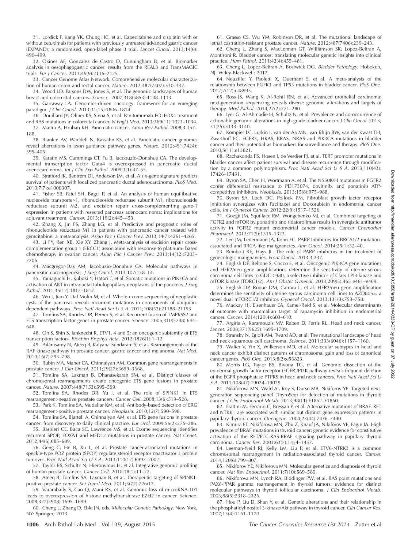31. Lordick F, Kang YK, Chung HC, et al. Capecitabine and cisplatin with or without cetuximab for patients with previously untreated advanced gastric cancer (EXPAND): a randomised, open-label phase 3 trial. Lancet Oncol. 2013;14(6): 490–499.

32. Okines AF, Gonzalez de Castro D, Cunningham D, et al. Biomarker analysis in oesophagogastric cancer: results from the REAL3 and TransMAGIC trials. Eur J Cancer. 2013;49(9):2116–2125.

33. Cancer Genome Atlas Network. Comprehensive molecular characterization of human colon and rectal cancer. Nature. 2012;487(7407):330–337.

34. Wood LD, Parsons DW, Jones S, et al. The genomic landscapes of human breast and colorectal cancers. Science. 2007;318(5853):1108–1113.

35. Garraway LA. Genomics-driven oncology: framework for an emerging paradigm. J Clin Oncol. 2013;31(15):1806–1814.

36. Douillard JY, Oliner KS, Siena S, et al. Panitumumab-FOLFOX4 treatment and RAS mutations in colorectal cancer. N Engl J Med. 2013;369(11):1023–1034.

37. Maitra A, Hruban RH. Pancreatic cancer. Annu Rev Pathol. 2008;3:157– 188.

38. Biankin AV, Waddell N, Kassahn KS, et al. Pancreatic cancer genomes reveal aberrations in axon guidance pathway genes. Nature. 2012;491(7424): 399–405.

39. Karafin MS, Cummings CT, Fu B, Iacobuzio-Donahue CA. The developmental transcription factor Gata4 is overexpressed in pancreatic ductal adenocarcinoma. Int J Clin Exp Pathol. 2009;3(1):47–55.

40. Stratford JK, Bentrem DJ, Anderson JM, et al. A six-gene signature predicts survival of patients with localized pancreatic ductal adenocarcinoma. PLoS Med. 2010;7(7):e1000307.

41. Fisher SB, Patel SH, Bagci P, et al. An analysis of human equilibrative nucleoside transporter-1, ribonucleoside reductase subunit M1, ribonucleoside reductase subunit M2, and excision repair cross-complementing gene-1 expression in patients with resected pancreas adenocarcinoma: implications for adjuvant treatment. Cancer. 2013;119(2):445–453.

42. Zhang X, Jin FS, Zhang LG, et al. Predictive and prognostic roles of ribonucleotide reductase M1 in patients with pancreatic cancer treated with gemcitabine: a meta-analysis. Asian Pac J Cancer Prev. 2013;14(7):4261–4265.

43. Li FY, Ren XB, Xie XY, Zhang J. Meta-analysis of excision repair crosscomplementation group 1 (ERCC1) association with response to platinum- based chemotherapy in ovarian cancer. Asian Pac J Cancer Prev. 2013;14(12):7203– 7206.

44. Macgregor-Das AM, Iacobuzio-Donahue CA. Molecular pathways in pancreatic carcinogenesis. J Surg Oncol. 2013;107(1):8–14.

45. Yamaguchi H, Kuboki Y, Hatori T, et al. Somatic mutations in PIK3CA and activation of AKT in intraductal tubulopapillary neoplasms of the pancreas. J Surg Pathol. 2011;35(12):1812–1817.

46. Wu J, Jiao Y, Dal Molin M, et al. Whole-exome sequencing of neoplastic cysts of the pancreas reveals recurrent mutations in components of ubiquitindependent pathways. Proc Natl Acad Sci U S A. 2011;108(52):21188–21193.

47. Tomlins SA, Rhodes DR, Perner S, et al. Recurrent fusion of TMPRSS2 and ETS transcription factor genes in prostate cancer. Science. 2005;310(5748):644– 648.

48. Oh S, Shin S, Janknecht R. ETV1, 4 and 5: an oncogenic subfamily of ETS transcription factors. Biochim Biophys Acta. 2012;1826(1):1–12.

49. Palanisamy N, Ateeq B, Kalyana-Sundaram S, et al. Rearrangements of the RAF kinase pathway in prostate cancer, gastric cancer and melanoma. Nat Med. 2010;16(7):793–798.

50. Rubin MA, Maher CA, Chinnaiyan AM. Common gene rearrangements in prostate cancer. J Clin Oncol. 2011;29(27):3659–3668.

51. Tomlins SA, Laxman B, Dhanasekaran SM, et al. Distinct classes of chromosomal rearrangements create oncogenic ETS gene fusions in prostate cancer. Nature. 2007;448(7153):595–599.

52. Tomlins SA, Rhodes DR, Yu J, et al. The role of SPINK1 in ETS rearrangement-negative prostate cancers. Cancer Cell. 2008;13(6):519–528.

53. Park K, Tomlins SA, Mudaliar KM, et al. Antibody-based detection of ERG rearrangement-positive prostate cancer. Neoplasia. 2010;12(7):590–598.

54. Tomlins SA, Bjartell A, Chinnaiyan AM, et al. ETS gene fusions in prostate cancer: from discovery to daily clinical practice. Eur Urol. 2009;56(2):275–286.

55. Barbieri CE, Baca SC, Lawrence MS, et al. Exome sequencing identifies recurrent SPOP, FOXA1 and MED12 mutations in prostate cancer. Nat Genet. 2012;44(6):685–689.

56. Geng C, He B, Xu L, et al. Prostate cancer-associated mutations in speckle-type POZ protein (SPOP) regulate steroid receptor coactivator 3 protein turnover. Proc Natl Acad Sci U S A. 2013;110(17):6997–7002.

57. Taylor BS, Schultz N, Hieronymus H, et al. Integrative genomic profiling of human prostate cancer. Cancer Cell. 2010;18(1):11–22.

58. Ateeq B, Tomlins SA, Laxman B, et al. Therapeutic targeting of SPINK1 positive prostate cancer. Sci Transl Med. 2011;3(72):72ra17.

59. Varambally S, Cao Q, Mani RS, et al. Genomic loss of microRNA-101 leads to overexpression of histone methyltransferase EZH2 in cancer. Science. 2008;322(5908):1695–1699.

60. Cheng L, Zhang D, Eble JN, eds. Molecular Genetic Pathology. New York, NY: Springer; 2013.

61. Grasso CS, Wu YM, Robinson DR, et al. The mutational landscape of lethal castration-resistant prostate cancer. Nature. 2012;487(7406):239–243.

62. Cheng L, Zhang S, MacLennan GT, Williamson SR, Lopez-Beltran A, Montironi R. Bladder cancer: translating molecular genetic insights into clinical practice. Hum Pathol. 2011;42(4):455–481.

63. Cheng L, Lopez-Beltran A, Bostwick DG. Bladder Pathology. Hoboken, NJ: Wiley-Blackwell; 2012.

64. Neuzillet Y, Paoletti X, Ouerhani S, et al. A meta-analysis of the relationship between FGFR3 and TP53 mutations in bladder cancer. PloS One. 2012;7(12):e48993.

65. Ross JS, Wang K, Al-Rohil RN, et al. Advanced urothelial carcinoma: next-generation sequencing reveals diverse genomic alterations and targets of therapy. Mod Pathol. 2014;27(2):271–280.

66. Iyer G, Al-Ahmadie H, Schultz N, et al. Prevalence and co-occurrence of actionable genomic alterations in high-grade bladder cancer. J Clin Oncol. 2013; 31(25):3133–3140.

67. Kompier LC, Lurkin I, van der Aa MN, van Rhijn BW, van der Kwast TH, Zwarthoff EC. FGFR3, HRAS, KRAS, NRAS and PIK3CA mutations in bladder cancer and their potential as biomarkers for surveillance and therapy. PloS One. 2010;5(11):e13821.

68. Rachakonda PS, Hosen I, de Verdier PJ, et al. TERT promoter mutations in bladder cancer affect patient survival and disease recurrence through modification by a common polymorphism. Proc Natl Acad Sci U S A. 2013;110(43): 17426–17431.

69. Byron SA, Chen H, Wortmann A, et al. The N550K/H mutations in FGFR2 confer differential resistance to PD173074, dovitinib, and ponatinib ATPcompetitive inhibitors. Neoplasia. 2013;15(8):975–988.

70. Byron SA, Loch DC, Pollock PM. Fibroblast growth factor receptor inhibition synergizes with Paclitaxel and Doxorubicin in endometrial cancer cells. Int J Gynecol Cancer. 2012;22(9):1517–1526.

71. Gozgit JM, Squillace RM, Wongchenko MJ, et al. Combined targeting of FGFR2 and mTOR by ponatinib and ridaforolimus results in synergistic antitumor activity in FGFR2 mutant endometrial cancer models. Cancer Chemother Pharmacol. 2013;71(5):1315–1323.

72. Lee JM, Ledermann JA, Kohn EC. PARP Inhibitors for BRCA1/2 mutationassociated and BRCA-like malignancies. Ann Oncol. 2014;25(1):32–40.

73. Reinbolt RE, Hays JL. The role of PARP inhibitors in the treatment of gynecologic malignancies. Front Oncol. 2013;3:237.

74. English DP, Bellone S, Cocco E, et al. Oncogenic PIK3CA gene mutations and HER2/neu gene amplifications determine the sensitivity of uterine serous carcinoma cell lines to GDC-0980, a selective inhibitor of Class I PI3 kinase and

mTOR kinase (TORC1/2). Am J Obstet Gynecol. 2013;209(5):465 e461–e469. 75. English DP, Roque DM, Carrara L, et al. HER2/neu gene amplification

determines the sensitivity of uterine serous carcinoma cell lines to AZD8055, a novel dual mTORC1/2 inhibitor. Gynecol Oncol. 2013;131(3):753–758.

76. Mackay HJ, Eisenhauer EA, Kamel-Reid S, et al. Molecular determinants of outcome with mammalian target of rapamycin inhibition in endometrial cancer. Cancer. 2014;120(4):603–610.

77. Argiris A, Karamouzis MV, Raben D, Ferris RL. Head and neck cancer. Lancet. 2008;371(9625):1695–1709.

78. Stransky N, Egloff AM, Tward AD, et al. The mutational landscape of head and neck squamous cell carcinoma. Science. 2011;333(6046):1157–1160.

79. Walter V, Yin X, Wilkerson MD, et al. Molecular subtypes in head and neck cancer exhibit distinct patterns of chromosomal gain and loss of canonical cancer genes. PloS One. 2013;8(2):e56823.

80. Morris LG, Taylor BS, Bivona TG, et al. Genomic dissection of the epidermal growth factor receptor (EGFR)/PI3K pathway reveals frequent deletion of the EGFR phosphatase PTPRS in head and neck cancers. Proc Natl Acad Sci U S A. 2011;108(47):19024–19029.

81. Nikiforova MN, Wald AI, Roy S, Durso MB, Nikiforov YE. Targeted nextgeneration sequencing panel (ThyroSeq) for detection of mutations in thyroid cancer. J Clin Endocrinol Metab. 2013;98(11):E1852–E1860.

82. Frattini M, Ferrario C, Bressan P, et al. Alternative mutations of BRAF, RET and NTRK1 are associated with similar but distinct gene expression patterns in papillary thyroid cancer. Oncogene. 2004;23(44):7436–7440.

83. Kimura ET, Nikiforova MN, Zhu Z, Knauf JA, Nikiforov YE, Fagin JA. High prevalence of BRAF mutations in thyroid cancer: genetic evidence for constitutive activation of the RET/PTC-RAS-BRAF signaling pathway in papillary thyroid carcinoma. Cancer Res. 2003;63(7):1454–1457.

84. Leeman-Neill RJ, Kelly LM, Liu P, et al. ETV6-NTRK3 is a common chromosomal rearrangement in radiation-associated thyroid cancer. Cancer. 2014;120(6):799–807.

85. Nikiforov YE, Nikiforova MN. Molecular genetics and diagnosis of thyroid cancer. Nat Rev Endocrinol. 2011;7(10):569–580.

86. Nikiforova MN, Lynch RA, Biddinger PW, et al. RAS point mutations and PAX8-PPAR gamma rearrangement in thyroid tumors: evidence for distinct molecular pathways in thyroid follicular carcinoma. J Clin Endocrinol Metab. 2003;88(5):2318–2326.

87. Hou P, Liu D, Shan Y, et al. Genetic alterations and their relationship in the phosphatidylinositol 3-kinase/Akt pathway in thyroid cancer. Clin Cancer Res. 2007;13(4):1161–1170.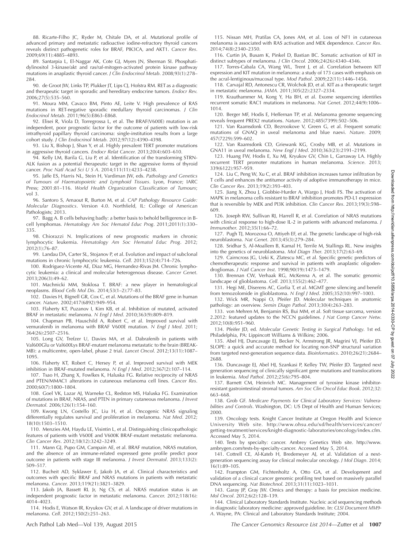88. Ricarte-Filho JC, Ryder M, Chitale DA, et al. Mutational profile of advanced primary and metastatic radioactive iodine-refractory thyroid cancers reveals distinct pathogenetic roles for BRAF, PIK3CA, and AKT1. Cancer Res. 2009;69(11):4885–4893.

89. Santarpia L, El-Naggar AK, Cote GJ, Myers JN, Sherman SI. Phosphatidylinositol 3-kinase/akt and ras/raf-mitogen-activated protein kinase pathway mutations in anaplastic thyroid cancer. J Clin Endocrinol Metab. 2008;93(1):278– 284.

90. de Groot JW, Links TP, Plukker JT, Lips CJ, Hofstra RM. RET as a diagnostic and therapeutic target in sporadic and hereditary endocrine tumors. Endocr Rev. 2006;27(5):535–560.

91. Moura MM, Cavaco BM, Pinto AE, Leite V. High prevalence of RAS mutations in RET-negative sporadic medullary thyroid carcinomas. J Clin Endocrinol Metab. 2011;96(5):E863–E868.

92. Elisei R, Viola D, Torregrossa L, et al. The BRAF(V600E) mutation is an independent, poor prognostic factor for the outcome of patients with low-risk intrathyroid papillary thyroid carcinoma: single-institution results from a large cohort study. J Clin Endocrinol Metab. 2012;97(12):4390–4398.

93. Liu X, Bishop J, Shan Y, et al. Highly prevalent TERT promoter mutations in aggressive thyroid cancers. Endocr Relat Cancer. 2013;20(4):603–610.

94. Kelly LM, Barila G, Liu P, et al. Identification of the transforming STRN-ALK fusion as a potential therapeutic target in the aggressive forms of thyroid cancer. Proc Natl Acad Sci U S A. 2014;111(11):4233–4238.

95. Jaffe ES, Harris NL, Stein H, Vardiman JW, eds. Pathology and Genetics of Tumours of Haematopoietic and Lymphoid Tissues. Lyon, France; IARC Press; 2001:81-116. World Health Organization Classification of Tumours; vol 3.

96. Santoro S, Arnaout R, Burton M, et al. CAP Pathology Resource Guide: Molecular Diagnostics. Version 4.0. Northfield, IL: College of American Pathologists; 2013.

97. Bagg A. B cells behaving badly: a better basis to behold belligerence in Bcell lymphomas. Hematology Am Soc Hematol Educ Prog. 2011;2011(1):330– 335.

98. Chiorazzi N. Implications of new prognostic markers in chronic lymphocytic leukemia. Hematology Am Soc Hematol Educ Prog. 2012; 2012(1):76–87.

99. Landau DA, Carter SL, Stojanov P, et al. Evolution and impact of subclonal mutations in chronic lymphocytic leukemia. Cell. 2013;152(4):714–726.

100. Rodriguez-Vicente AE, Diaz MG, Hernandez-Rivas JM. Chronic lymphocytic leukemia: a clinical and molecular heterogenous disease. Cancer Genet. 2013;206(3):49–62.

101. Machnicki MM, Stoklosa T. BRAF: a new player in hematological neoplasms. Blood Cells Mol Dis. 2014;53(1–2):77–83.

102. Davies H, Bignell GR, Cox C, et al. Mutations of the BRAF gene in human cancer. Nature. 2002;417(6892):949–954.

103. Flaherty KT, Puzanov I, Kim KB, et al. Inhibition of mutated, activated BRAF in metastatic melanoma. N Engl J Med. 2010;363(9):809–819.

104. Chapman PB, Hauschild A, Robert C, et al. Improved survival with vemurafenib in melanoma with BRAF V600E mutation. N Engl J Med. 2011; 364(26):2507–2516.

105. Long GV, Trefzer U, Davies MA, et al. Dabrafenib in patients with Val600Glu or Val600Lys BRAF-mutant melanoma metastatic to the brain (BREAK-MB): a multicentre, open-label, phase 2 trial. Lancet Oncol. 2012;13(11):1087– 1095.

106. Flaherty KT, Robert C, Hersey P, et al. Improved survival with MEK inhibition in BRAF-mutated melanoma. N Engl J Med. 2012;367(2):107–114.

107. Tsao H, Zhang X, Fowlkes K, Haluska FG. Relative reciprocity of NRAS and PTEN/MMAC1 alterations in cutaneous melanoma cell lines. Cancer Res. 2000;60(7):1800–1804.

108. Goel VK, Lazar AJ, Warneke CL, Redston MS, Haluska FG. Examination of mutations in BRAF, NRAS, and PTEN in primary cutaneous melanoma. J Invest Dermatol. 2006;126(1):154–160.

109. Kwong LN, Costello JC, Liu H, et al. Oncogenic NRAS signaling differentially regulates survival and proliferation in melanoma. Nat Med. 2012; 18(10):1503–1510.

110. Menzies AM, Haydu LE, Visintin L, et al. Distinguishing clinicopathologic features of patients with V600E and V600K BRAF-mutant metastatic melanoma. Clin Cancer Res. 2012;18(12):3242–3249.

111. Mann GJ, Pupo GM, Campain AE, et al. BRAF mutation, NRAS mutation, and the absence of an immune-related expressed gene profile predict poor outcome in patients with stage III melanoma. J Invest Dermatol. 2013;133(2): 509–517.

112. Bucheit AD, Syklawer E, Jakob JA, et al. Clinical characteristics and outcomes with specific BRAF and NRAS mutations in patients with metastatic melanoma. Cancer. 2013;119(21):3821–3829.

113. Jakob JA, Bassett RL Jr, Ng CS, et al. NRAS mutation status is an independent prognostic factor in metastatic melanoma. Cancer. 2012;118(16): 4014–4023.

114. Hodis E, Watson IR, Kryukov GV, et al. A landscape of driver mutations in melanoma. Cell. 2012;150(2):251–263.

115. Nissan MH, Pratilas CA, Jones AM, et al. Loss of NF1 in cutaneous melanoma is associated with RAS activation and MEK dependence. Cancer Res. 2014;74(8):2340–2350.

116. Curtin JA, Busam K, Pinkel D, Bastian BC. Somatic activation of KIT in distinct subtypes of melanoma. J Clin Oncol. 2006;24(26):4340–4346.

117. Torres-Cabala CA, Wang WL, Trent J, et al. Correlation between KIT expression and KIT mutation in melanoma: a study of 173 cases with emphasis on the acral-lentiginous/mucosal type. Mod Pathol. 2009;22(11):1446–1456.

118. Carvajal RD, Antonescu CR, Wolchok JD, et al. KIT as a therapeutic target in metastatic melanoma. JAMA. 2011;305(22):2327–2334.

119. Krauthammer M, Kong Y, Ha BH, et al. Exome sequencing identifies recurrent somatic RAC1 mutations in melanoma. Nat Genet. 2012;44(9):1006– 1014.

120. Berger MF, Hodis E, Heffernan TP, et al. Melanoma genome sequencing reveals frequent PREX2 mutations. Nature. 2012;485(7399):502–506.

121. Van Raamsdonk CD, Bezrookove V, Green G, et al. Frequent somatic mutations of GNAQ in uveal melanoma and blue naevi. Nature. 2009; 457(7229):599–602.

122. Van Raamsdonk CD, Griewank KG, Crosby MB, et al. Mutations in GNA11 in uveal melanoma. New Engl J Med. 2010;363(23):2191–2199.

123. Huang FW, Hodis E, Xu MJ, Kryukov GV, Chin L, Garraway LA. Highly recurrent TERT promoter mutations in human melanoma. Science. 2013; 339(6122):957–959.

124. Liu C, Peng W, Xu C, et al. BRAF inhibition increases tumor infiltration by T cells and enhances the antitumor activity of adoptive immunotherapy in mice. Clin Cancer Res. 2013;19(2):393–403.

125. Jiang X, Zhou J, Giobbie-Hurder A, Wargo J, Hodi FS. The activation of MAPK in melanoma cells resistant to BRAF inhibition promotes PD-L1 expression that is reversible by MEK and PI3K inhibition. Clin Cancer Res. 2013;19(3):598– 609.

126. Joseph RW, Sullivan RJ, Harrell R, et al. Correlation of NRAS mutations with clinical response to high-dose IL-2 in patients with advanced melanoma. J Immunother. 2012;35(1):66–72.

127. Pugh TJ, Morozova O, Attiyeh EF, et al. The genetic landscape of high-risk neuroblastoma. Nat Genet. 2013;45(3):279–284.

128. Sridhar S, Al-Moallem B, Kamal H, Terrile M, Stallings RL. New insights into the genetics of neuroblastoma. Mol Diagn Ther. 2013;17(2):63–69.

129. Cairncross JG, Ueki K, Zlatescu MC, et al. Specific genetic predictors of chemotherapeutic response and survival in patients with anaplastic oligodendrogliomas. J Natl Cancer Inst. 1998;90(19):1473–1479.

130. Brennan CW, Verhaak RG, McKenna A, et al. The somatic genomic landscape of glioblastoma. Cell. 2013;155(2):462–477.

131. Hegi ME, Diserens AC, Gorlia T, et al. MGMT gene silencing and benefit from temozolomide in glioblastoma. N Engl J Med. 2005;352(10):997–1003.

132. Wick MR, Nappi O, Pfeifer JD. Molecular techniques in anatomic pathology: an overview. Semin Diagn Pathol. 2013;30(4):263–283.

133. von Mehren M, Benjamin RS, Bui MM, et al. Soft tissue sarcoma, version 2.2012: featured updates to the NCCN guidelines. J Nat Comp Cancer Netw. 2012;10(8):951–960.

134. Pfeifer JD, ed. Molecular Genetic Testing in Surgical Pathology. 1st ed. Philadelphia, PA: Lippincott Williams & Wilkins; 2006.

135. Abel HJ, Duncavage EJ, Becker N, Armstrong JR, Magrini VJ, Pfeifer JD. SLOPE: a quick and accurate method for locating non-SNP structural variation from targeted next-generation sequence data. Bioinformatics. 2010;26(21):2684– 2688.

136. Duncavage EJ, Abel HJ, Szankasi P, Kelley TW, Pfeifer JD. Targeted next generation sequencing of clinically significant gene mutations and translocations in leukemia. Mod Pathol. 2012;25(6):795–804.

137. Barnett CM, Heinrich MC. Management of tyrosine kinase inhibitorresistant gastrointestinal stromal tumors. Am Soc Clin Oncol Educ Book. 2012;32: 663–668.

138. Grob GF. Medicare Payments for Clinical Laboratory Services: Vulnerabilities and Controls. Washington, DC: US Dept of Health and Human Services; 2000.

139. Oncology tests. Knight Cancer Institute at Oregon Health and Science University Web site. http://www.ohsu.edu/xd/health/services/cancer/ getting-treatment/services/knight-diagnostic-laboratories/oncology/index.cfm. Accessed May 5, 2014.

140. Tests by specialty: cancer. Ambrey Genetics Web site. http://www. ambrygen.com/tests-by-specialty-cancer. Accessed May 5, 2014.

141. Cottrell CE, Al-Kateb H, Bredemeyer AJ, et al. Validation of a nextgeneration sequencing assay for clinical molecular oncology. J Mol Diagn. 2014; 16(1):89–105.

142. Frampton GM, Fichtenholtz A, Otto GA, et al. Development and validation of a clinical cancer genomic profiling test based on massively parallel DNA sequencing. Nat Biotechnol. 2013;31(11):1023–1031.

143. Garay JP, Gray JW. Omics and therapy: a basis for precision medicine. Mol Oncol. 2012;6(2):128–139.

144. Clinical Laboratory Standards Institute. Nucleic acid sequencing methods in diagnostic laboratory medicine: approved guideline. In: CLSI Document MM9- A. Wayne, PA: Clinical and Laboratory Standards Institute; 2004.